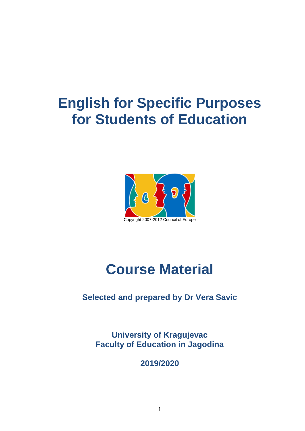# **English for Specific Purposes for Students of Education**



# **Course Material**

### **Selected and prepared by Dr Vera Savic**

**University of Kragujevac Faculty of Education in Jagodina**

**2019/2020**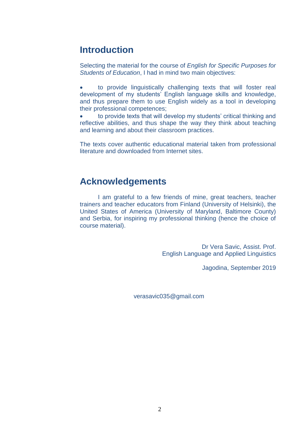# **Introduction**

Selecting the material for the course of *English for Specific Purposes for Students of Education*, I had in mind two main objectives:

 to provide linguistically challenging texts that will foster real development of my students" English language skills and knowledge, and thus prepare them to use English widely as a tool in developing their professional competences;

to provide texts that will develop my students' critical thinking and reflective abilities, and thus shape the way they think about teaching and learning and about their classroom practices.

The texts cover authentic educational material taken from professional literature and downloaded from Internet sites.

### **Acknowledgements**

I am grateful to a few friends of mine, great teachers, teacher trainers and teacher educators from Finland (University of Helsinki), the United States of America (University of Maryland, Baltimore County) and Serbia, for inspiring my professional thinking (hence the choice of course material).

> Dr Vera Savic, Assist. Prof. English Language and Applied Linguistics

> > Jagodina, September 2019

verasavic035@gmail.com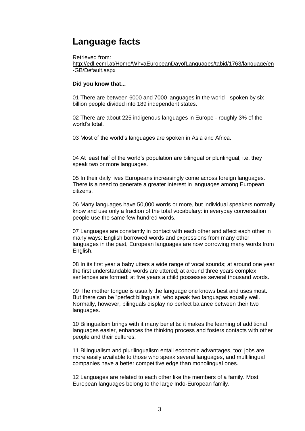## **Language facts**

Retrieved from:

[http://edl.ecml.at/Home/WhyaEuropeanDayofLanguages/tabid/1763/language/en](http://edl.ecml.at/Home/WhyaEuropeanDayofLanguages/tabid/1763/language/en-GB/Default.aspx) [-GB/Default.aspx](http://edl.ecml.at/Home/WhyaEuropeanDayofLanguages/tabid/1763/language/en-GB/Default.aspx)

#### **Did you know that...**

01 There are between 6000 and 7000 languages in the world - spoken by six billion people divided into 189 independent states.

02 There are about 225 indigenous languages in Europe - roughly 3% of the world"s total.

03 Most of the world"s languages are spoken in Asia and Africa.

04 At least half of the world"s population are bilingual or plurilingual, i.e. they speak two or more languages.

05 In their daily lives Europeans increasingly come across foreign languages. There is a need to generate a greater interest in languages among European citizens.

06 Many languages have 50,000 words or more, but individual speakers normally know and use only a fraction of the total vocabulary: in everyday conversation people use the same few hundred words.

07 Languages are constantly in contact with each other and affect each other in many ways: English borrowed words and expressions from many other languages in the past, European languages are now borrowing many words from English.

08 In its first year a baby utters a wide range of vocal sounds; at around one year the first understandable words are uttered; at around three years complex sentences are formed; at five years a child possesses several thousand words.

09 The mother tongue is usually the language one knows best and uses most. But there can be "perfect bilinguals" who speak two languages equally well. Normally, however, bilinguals display no perfect balance between their two languages.

10 Bilingualism brings with it many benefits: it makes the learning of additional languages easier, enhances the thinking process and fosters contacts with other people and their cultures.

11 Bilingualism and plurilingualism entail economic advantages, too: jobs are more easily available to those who speak several languages, and multilingual companies have a better competitive edge than monolingual ones.

12 Languages are related to each other like the members of a family. Most European languages belong to the large Indo-European family.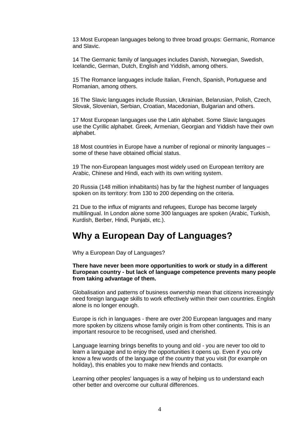13 Most European languages belong to three broad groups: Germanic, Romance and Slavic.

14 The Germanic family of languages includes Danish, Norwegian, Swedish, Icelandic, German, Dutch, English and Yiddish, among others.

15 The Romance languages include Italian, French, Spanish, Portuguese and Romanian, among others.

16 The Slavic languages include Russian, Ukrainian, Belarusian, Polish, Czech, Slovak, Slovenian, Serbian, Croatian, Macedonian, Bulgarian and others.

17 Most European languages use the Latin alphabet. Some Slavic languages use the Cyrillic alphabet. Greek, Armenian, Georgian and Yiddish have their own alphabet.

18 Most countries in Europe have a number of regional or minority languages – some of these have obtained official status.

19 The non-European languages most widely used on European territory are Arabic, Chinese and Hindi, each with its own writing system.

20 Russia (148 million inhabitants) has by far the highest number of languages spoken on its territory: from 130 to 200 depending on the criteria.

21 Due to the influx of migrants and refugees, Europe has become largely multilingual. In London alone some 300 languages are spoken (Arabic, Turkish, Kurdish, Berber, Hindi, Punjabi, etc.).

### **Why a European Day of Languages?**

Why a European Day of Languages?

#### **There have never been more opportunities to work or study in a different European country - but lack of language competence prevents many people from taking advantage of them.**

Globalisation and patterns of business ownership mean that citizens increasingly need foreign language skills to work effectively within their own countries. English alone is no longer enough.

Europe is rich in languages - there are over 200 European languages and many more spoken by citizens whose family origin is from other continents. This is an important resource to be recognised, used and cherished.

Language learning brings benefits to young and old - you are never too old to learn a language and to enjoy the opportunities it opens up. Even if you only know a few words of the language of the country that you visit (for example on holiday), this enables you to make new friends and contacts.

Learning other peoples' languages is a way of helping us to understand each other better and overcome our cultural differences.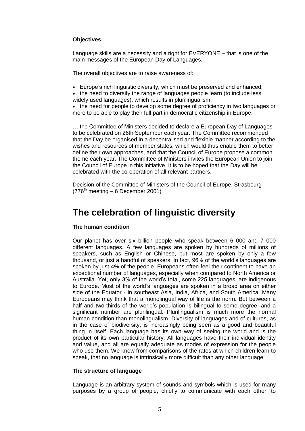#### **Objectives**

Language skills are a necessity and a right for EVERYONE – that is one of the main messages of the European Day of Languages.

The overall objectives are to raise awareness of:

• Europe's rich linguistic diversity, which must be preserved and enhanced;

• the need to diversify the range of languages people learn (to include less widely used languages), which results in plurilingualism;

• the need for people to develop some degree of proficiency in two languages or more to be able to play their full part in democratic citizenship in Europe.

… the Committee of Ministers decided to declare a European Day of Languages to be celebrated on 26th September each year. The Committee recommended that the Day be organised in a decentralised and flexible manner according to the wishes and resources of member states, which would thus enable them to better define their own approaches, and that the Council of Europe propose a common theme each year. The Committee of Ministers invites the European Union to join the Council of Europe in this initiative. It is to be hoped that the Day will be celebrated with the co-operation of all relevant partners.

Decision of the Committee of Ministers of the Council of Europe, Strasbourg  $(776<sup>th</sup>$  meeting – 6 December 2001)

### **The celebration of linguistic diversity**

#### **The human condition**

Our planet has over six billion people who speak between 6 000 and 7 000 different languages. A few languages are spoken by hundreds of millions of speakers, such as English or Chinese, but most are spoken by only a few thousand, or just a handful of speakers. In fact, 96% of the world"s languages are spoken by just 4% of the people. Europeans often feel their continent to have an exceptional number of languages, especially when compared to North America or Australia. Yet, only 3% of the world"s total, some 225 languages, are indigenous to Europe. Most of the world"s languages are spoken in a broad area on either side of the Equator - in southeast Asia, India, Africa, and South America. Many Europeans may think that a monolingual way of life is the norm. But between a half and two-thirds of the world"s population is bilingual to some degree, and a significant number are plurilingual. Plurilingualism is much more the normal human condition than monolingualism. Diversity of languages and of cultures, as in the case of biodiversity, is increasingly being seen as a good and beautiful thing in itself. Each language has its own way of seeing the world and is the product of its own particular history. All languages have their individual identity and value, and all are equally adequate as modes of expression for the people who use them. We know from comparisons of the rates at which children learn to speak, that no language is intrinsically more difficult than any other language.

#### **The structure of language**

Language is an arbitrary system of sounds and symbols which is used for many purposes by a group of people, chiefly to communicate with each other, to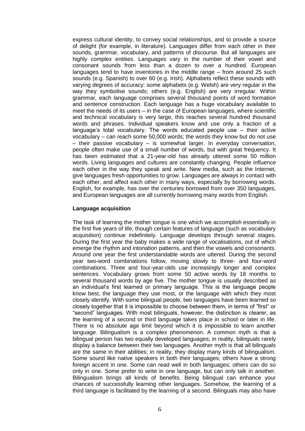express cultural identity, to convey social relationships, and to provide a source of delight (for example, in literature). Languages differ from each other in their sounds, grammar, vocabulary, and patterns of discourse. But all languages are highly complex entities. Languages vary in the number of their vowel and consonant sounds from less than a dozen to over a hundred. European languages tend to have inventories in the middle range – from around 25 such sounds (e.g. Spanish) to over 60 (e.g. Irish). Alphabets reflect these sounds with varying degrees of accuracy: some alphabets (e.g. Welsh) are very regular in the way they symbolise sounds; others (e.g. English) are very irregular. Within grammar, each language comprises several thousand points of word formation and sentence construction. Each language has a huge vocabulary available to meet the needs of its users – in the case of European languages, where scientific and technical vocabulary is very large, this reaches several hundred thousand words and phrases. Individual speakers know and use only a fraction of a language"s total vocabulary. The words educated people use – their active vocabulary – can reach some 50,000 words; the words they know but do not use – their passive vocabulary – is somewhat larger. In everyday conversation, people often make use of a small number of words, but with great frequency. It has been estimated that a 21-year-old has already uttered some 50 million words. Living languages and cultures are constantly changing. People influence each other in the way they speak and write. New media, such as the Internet, give languages fresh opportunities to grow. Languages are always in contact with each other, and affect each other in many ways, especially by borrowing words. English, for example, has over the centuries borrowed from over 350 languages, and European languages are all currently borrowing many words from English.

#### **Language acquisition**

The task of learning the mother tongue is one which we accomplish essentially in the first five years of life, though certain features of language (such as vocabulary acquisition) continue indefinitely. Language develops through several stages. During the first year the baby makes a wide range of vocalisations, out of which emerge the rhythm and intonation patterns, and then the vowels and consonants. Around one year the first understandable words are uttered. During the second year two-word combinations follow, moving slowly to three- and four-word combinations. Three and four-year-olds use increasingly longer and complex sentences. Vocabulary grows from some 50 active words by 18 months to several thousand words by age five. The mother tongue is usually described as an individual"s first learned or primary language. This is the language people know best, the language they use most, or the language with which they most closely identify. With some bilingual people, two languages have been learned so closely together that it is impossible to choose between them, in terms of "first" or "second" languages. With most bilinguals, however, the distinction is clearer, as the learning of a second or third language takes place in school or later in life. There is no absolute age limit beyond which it is impossible to learn another language. Bilingualism is a complex phenomenon. A common myth is that a bilingual person has two equally developed languages; in reality, bilinguals rarely display a balance between their two languages. Another myth is that all bilinguals are the same in their abilities; in reality, they display many kinds of bilingualism. Some sound like native speakers in both their languages; others have a strong foreign accent in one. Some can read well in both languages; others can do so only in one. Some prefer to write in one language, but can only talk in another. Bilingualism brings all kinds of benefits. Being bilingual can enhance your chances of successfully learning other languages. Somehow, the learning of a third language is facilitated by the learning of a second. Bilinguals may also have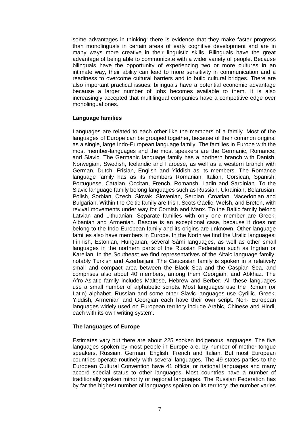some advantages in thinking: there is evidence that they make faster progress than monolinguals in certain areas of early cognitive development and are in many ways more creative in their linguistic skills. Bilinguals have the great advantage of being able to communicate with a wider variety of people. Because bilinguals have the opportunity of experiencing two or more cultures in an intimate way, their ability can lead to more sensitivity in communication and a readiness to overcome cultural barriers and to build cultural bridges. There are also important practical issues: bilinguals have a potential economic advantage because a larger number of jobs becomes available to them. It is also increasingly accepted that multilingual companies have a competitive edge over monolingual ones.

#### **Language families**

Languages are related to each other like the members of a family. Most of the languages of Europe can be grouped together, because of their common origins, as a single, large Indo-European language family. The families in Europe with the most member-languages and the most speakers are the Germanic, Romance, and Slavic. The Germanic language family has a northern branch with Danish, Norwegian, Swedish, Icelandic and Faroese, as well as a western branch with German, Dutch, Frisian, English and Yiddish as its members. The Romance language family has as its members Romanian, Italian, Corsican, Spanish, Portuguese, Catalan, Occitan, French, Romansh, Ladin and Sardinian. To the Slavic language family belong languages such as Russian, Ukrainian, Belarusian, Polish, Sorbian, Czech, Slovak, Slovenian, Serbian, Croatian, Macedonian and Bulgarian. Within the Celtic family are Irish, Scots Gaelic, Welsh, and Breton, with revival movements under way for Cornish and Manx. To the Baltic family belong Latvian and Lithuanian. Separate families with only one member are Greek, Albanian and Armenian. Basque is an exceptional case, because it does not belong to the Indo-European family and its origins are unknown. Other language families also have members in Europe. In the North we find the Uralic languages: Finnish, Estonian, Hungarian, several Sámi languages, as well as other small languages in the northern parts of the Russian Federation such as Ingrian or Karelian. In the Southeast we find representatives of the Altaic language family, notably Turkish and Azerbaijani. The Caucasian family is spoken in a relatively small and compact area between the Black Sea and the Caspian Sea, and comprises also about 40 members, among them Georgian, and Abkhaz. The Afro-Asiatic family includes Maltese, Hebrew and Berber. All these languages use a small number of alphabetic scripts. Most languages use the Roman (or Latin) alphabet. Russian and some other Slavic languages use Cyrillic. Greek, Yiddish, Armenian and Georgian each have their own script. Non- European languages widely used on European territory include Arabic, Chinese and Hindi, each with its own writing system.

#### **The languages of Europe**

Estimates vary but there are about 225 spoken indigenous languages. The five languages spoken by most people in Europe are, by number of mother tongue speakers, Russian, German, English, French and Italian. But most European countries operate routinely with several languages. The 49 states parties to the European Cultural Convention have 41 official or national languages and many accord special status to other languages. Most countries have a number of traditionally spoken minority or regional languages. The Russian Federation has by far the highest number of languages spoken on its territory; the number varies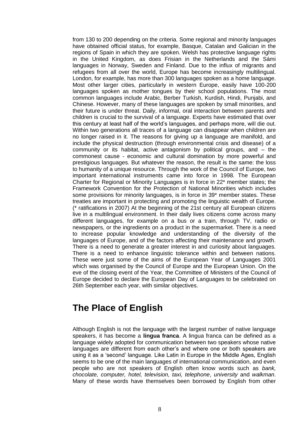from 130 to 200 depending on the criteria. Some regional and minority languages have obtained official status, for example, Basque, Catalan and Galician in the regions of Spain in which they are spoken. Welsh has protective language rights in the United Kingdom, as does Frisian in the Netherlands and the Sámi languages in Norway, Sweden and Finland. Due to the influx of migrants and refugees from all over the world, Europe has become increasingly multilingual. London, for example, has more than 300 languages spoken as a home language. Most other larger cities, particularly in western Europe, easily have 100-200 languages spoken as mother tongues by their school populations. The most common languages include Arabic, Berber Turkish, Kurdish, Hindi, Punjabi, and Chinese. However, many of these languages are spoken by small minorities, and their future is under threat. Daily, informal, oral interaction between parents and children is crucial to the survival of a language. Experts have estimated that over this century at least half of the world"s languages, and perhaps more, will die out. Within two generations all traces of a language can disappear when children are no longer raised in it. The reasons for giving up a language are manifold, and include the physical destruction (through environmental crisis and disease) of a community or its habitat, active antagonism by political groups, and – the commonest cause - economic and cultural domination by more powerful and prestigious languages. But whatever the reason, the result is the same: the loss to humanity of a unique resource. Through the work of the Council of Europe, two important international instruments came into force in 1998. The European Charter for Regional or Minority Languages is in force in 22\* member states; the Framework Convention for the Protection of National Minorities which includes some provisions for minority languages, is in force in 39\* member states. These treaties are important in protecting and promoting the linguistic wealth of Europe. (\* ratifications in 2007) At the beginning of the 21st century all European citizens live in a multilingual environment. In their daily lives citizens come across many different languages, for example on a bus or a train, through TV, radio or newspapers, or the ingredients on a product in the supermarket. There is a need to increase popular knowledge and understanding of the diversity of the languages of Europe, and of the factors affecting their maintenance and growth. There is a need to generate a greater interest in and curiosity about languages. There is a need to enhance linguistic tolerance within and between nations. These were just some of the aims of the European Year of Languages 2001 which was organised by the Council of Europe and the European Union. On the eve of the closing event of the Year, the Committee of Ministers of the Council of Europe decided to declare the European Day of Languages to be celebrated on 26th September each year, with similar objectives.

# **The Place of English**

Although English is not the language with the largest number of native language speakers, it has become a **lingua franca**. A lingua franca can be defined as a language widely adopted for communication between two speakers whose native languages are different from each other"s and where one or both speakers are using it as a "second" language. Like Latin in Europe in the Middle Ages, English seems to be one of the main languages of international communication, and even people who are not speakers of English often know words such as *bank, chocolate, computer, hotel, television, taxi, telephone*, *university* and *walkman*. Many of these words have themselves been borrowed by English from other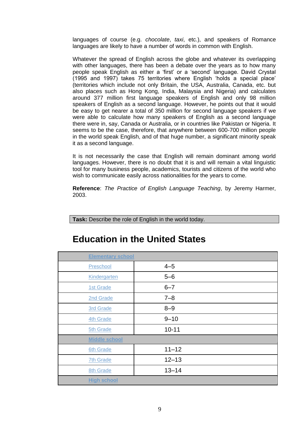languages of course (e.g. *chocolate*, *taxi*, etc.), and speakers of Romance languages are likely to have a number of words in common with English.

Whatever the spread of English across the globe and whatever its overlapping with other languages, there has been a debate over the years as to how many people speak English as either a "first" or a "second" language. David Crystal (1995 and 1997) takes 75 territories where English "holds a special place" (territories which include not only Britain, the USA, Australia, Canada, etc. but also places such as Hong Kong, India, Malaysia and Nigeria) and calculates around 377 million first language speakers of English and only 98 million speakers of English as a second language. However, he points out that it would be easy to get nearer a total of 350 million for second language speakers if we were able to calculate how many speakers of English as a second language there were in, say, Canada or Australia, or in countries like Pakistan or Nigeria. It seems to be the case, therefore, that anywhere between 600-700 million people in the world speak English, and of that huge number, a significant minority speak it as a second language.

It is not necessarily the case that English will remain dominant among world languages. However, there is no doubt that it is and will remain a vital linguistic tool for many business people, academics, tourists and citizens of the world who wish to communicate easily across nationalities for the years to come.

**Reference**: *The Practice of English Language Teaching*, by Jeremy Harmer, 2003.

| Education in the United States |           |  |
|--------------------------------|-----------|--|
| <b>Elementary school</b>       |           |  |
| Preschool                      | $4 - 5$   |  |
| Kindergarten                   | $5 - 6$   |  |
| <b>1st Grade</b>               | $6 - 7$   |  |
| 2nd Grade                      | $7 - 8$   |  |
| <b>3rd Grade</b>               | $8 - 9$   |  |
| 4th Grade                      | $9 - 10$  |  |
| 5th Grade                      | $10 - 11$ |  |
| <b>Middle school</b>           |           |  |
| <b>6th Grade</b>               | $11 - 12$ |  |
| <b>7th Grade</b>               | $12 - 13$ |  |
| 8th Grade                      | $13 - 14$ |  |
| <b>High school</b>             |           |  |

**Task:** Describe the role of English in the world today.

### **Education in the United States**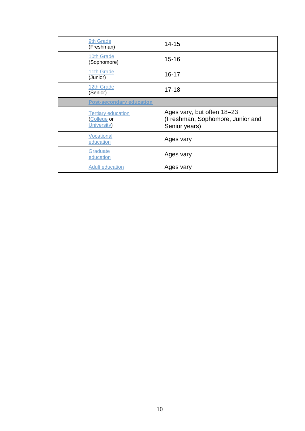| 9th Grade<br>(Freshman)                                 | $14 - 15$                                                                       |
|---------------------------------------------------------|---------------------------------------------------------------------------------|
| 10th Grade<br>(Sophomore)                               | $15 - 16$                                                                       |
| 11th Grade<br>(Junior)                                  | $16 - 17$                                                                       |
| 12th Grade<br>(Senior)                                  | $17 - 18$                                                                       |
| <b>Post-secondary education</b>                         |                                                                                 |
|                                                         |                                                                                 |
| <b>Tertiary education</b><br>(College or<br>University) | Ages vary, but often 18-23<br>(Freshman, Sophomore, Junior and<br>Senior years) |
| Vocational<br>education                                 | Ages vary                                                                       |
| Graduate<br>education                                   | Ages vary                                                                       |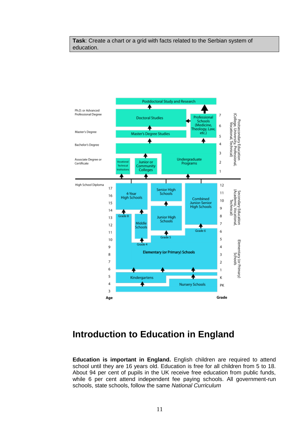#### **Task**: Create a chart or a grid with facts related to the Serbian system of education.



### **Introduction to Education in England**

**Education is important in England.** English children are required to attend school until they are 16 years old. Education is free for all children from 5 to 18. About 94 per cent of pupils in the UK receive free education from public funds, while 6 per cent attend independent fee paying schools. All government-run schools, state schools, follow the same *National Curriculum*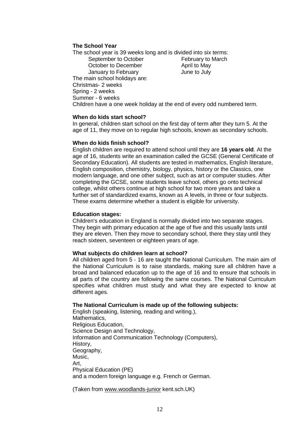#### **The School Year**

The school year is 39 weeks long and is divided into [six terms:](http://www.woodlands-junior.kent.sch.uk/customs/questions/schterms.html) September to October February to March October to December **April to May** January to February **June to July** The main school holidays are: Christmas- 2 weeks Spring - 2 weeks Summer - 6 weeks

Children have a one week holiday at the end of every odd numbered term.

#### **When do kids start school?**

In general, children start school on the first day of term after they turn 5. At the age of 11, they move on to regular high schools, known as secondary schools.

#### **When do kids finish school?**

English children are required to attend school until they are **16 years old**. At the age of 16, students write an examination called the GCSE (General Certificate of Secondary Education). All students are tested in mathematics, English literature, English composition, chemistry, biology, physics, history or the Classics, one modern language, and one other subject, such as art or computer studies. After completing the GCSE, some students leave school, others go onto technical college, whilst others continue at high school for two more years and take a further set of standardized exams, known as A levels, in three or four subjects. These exams determine whether a student is eligible for university.

#### **Education stages:**

Children's education in England is normally divided into two separate stages. They begin with primary education at the age of five and this usually lasts until they are eleven. Then they move to secondary school, there they stay until they reach sixteen, seventeen or eighteen years of age.

#### **What subjects do children learn at school?**

All children aged from 5 - 16 are taught the National Curriculum. The main aim of the National Curriculum is to raise standards, making sure all children have a broad and balanced education up to the age of 16 and to ensure that schools in all parts of the country are following the same courses. The National Curriculum specifies what children must study and what they are expected to know at different ages.

#### **The National Curriculum is made up of the following subjects:**

English (speaking, listening, reading and writing.), Mathematics, Religious Education, Science Design and Technology, Information and Communication Technology (Computers), History, Geography, Music, Art, Physical Education (PE) and a modern foreign language e.g. French or German.

(Taken from [www.woodlands-junior](http://www.woodlands-junior/) kent.sch.UK)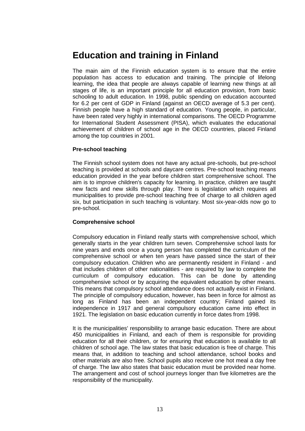# **Education and training in Finland**

The main aim of the Finnish education system is to ensure that the entire population has access to education and training. The principle of lifelong learning, the idea that people are always capable of learning new things at all stages of life, is an important principle for all education provision, from basic schooling to adult education. In 1998, public spending on education accounted for 6.2 per cent of GDP in Finland (against an OECD average of 5.3 per cent). Finnish people have a high standard of education. Young people, in particular, have been rated very highly in international comparisons. The OECD Programme for International Student Assessment (PISA), which evaluates the educational achievement of children of school age in the OECD countries, placed Finland among the top countries in 2001.

#### **Pre-school teaching**

The Finnish school system does not have any actual pre-schools, but pre-school teaching is provided at schools and daycare centres. Pre-school teaching means education provided in the year before children start comprehensive school. The aim is to improve children's capacity for learning. In practice, children are taught new facts and new skills through play. There is legislation which requires all municipalities to provide pre-school teaching free of charge to all children aged six, but participation in such teaching is voluntary. Most six-year-olds now go to pre-school.

#### **Comprehensive school**

Compulsory education in Finland really starts with comprehensive school, which generally starts in the year children turn seven. Comprehensive school lasts for nine years and ends once a young person has completed the curriculum of the comprehensive school or when ten years have passed since the start of their compulsory education. Children who are permanently resident in Finland - and that includes children of other nationalities - are required by law to complete the curriculum of compulsory education. This can be done by attending comprehensive school or by acquiring the equivalent education by other means. This means that compulsory school attendance does not actually exist in Finland. The principle of compulsory education, however, has been in force for almost as long as Finland has been an independent country; Finland gained its independence in 1917 and general compulsory education came into effect in 1921. The legislation on basic education currently in force dates from 1998.

It is the municipalities' responsibility to arrange basic education. There are about 450 municipalities in Finland, and each of them is responsible for providing education for all their children, or for ensuring that education is available to all children of school age. The law states that basic education is free of charge. This means that, in addition to teaching and school attendance, school books and other materials are also free. School pupils also receive one hot meal a day free of charge. The law also states that basic education must be provided near home. The arrangement and cost of school journeys longer than five kilometres are the responsibility of the municipality.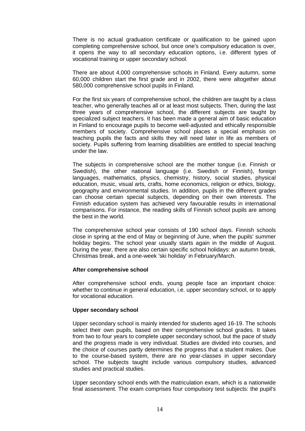There is no actual graduation certificate or qualification to be gained upon completing comprehensive school, but once one's compulsory education is over, it opens the way to all secondary education options, i.e. different types of vocational training or upper secondary school.

There are about 4,000 comprehensive schools in Finland. Every autumn, some 60,000 children start the first grade and in 2002, there were altogether about 580,000 comprehensive school pupils in Finland.

For the first six years of comprehensive school, the children are taught by a class teacher, who generally teaches all or at least most subjects. Then, during the last three years of comprehensive school, the different subjects are taught by specialized subject teachers. It has been made a general aim of basic education in Finland to encourage pupils to become well-adjusted and ethically responsible members of society. Comprehensive school places a special emphasis on teaching pupils the facts and skills they will need later in life as members of society. Pupils suffering from learning disabilities are entitled to special teaching under the law.

The subjects in comprehensive school are the mother tongue (i.e. Finnish or Swedish), the other national language (i.e. Swedish or Finnish), foreign languages, mathematics, physics, chemistry, history, social studies, physical education, music, visual arts, crafts, home economics, religion or ethics, biology, geography and environmental studies. In addition, pupils in the different grades can choose certain special subjects, depending on their own interests. The Finnish education system has achieved very favourable results in international comparisons. For instance, the reading skills of Finnish school pupils are among the best in the world.

The comprehensive school year consists of 190 school days. Finnish schools close in spring at the end of May or beginning of June, when the pupils' summer holiday begins. The school year usually starts again in the middle of August. During the year, there are also certain specific school holidays: an autumn break, Christmas break, and a one-week 'ski holiday' in February/March.

#### **After comprehensive school**

After comprehensive school ends, young people face an important choice: whether to continue in general education, i.e. upper secondary school, or to apply for vocational education.

#### **Upper secondary school**

Upper secondary school is mainly intended for students aged 16-19. The schools select their own pupils, based on their comprehensive school grades. It takes from two to four years to complete upper secondary school, but the pace of study and the progress made is very individual. Studies are divided into courses, and the choice of courses partly determines the progress that a student makes. Due to the course-based system, there are no year-classes in upper secondary school. The subjects taught include various compulsory studies, advanced studies and practical studies.

Upper secondary school ends with the matriculation exam, which is a nationwide final assessment. The exam comprises four compulsory test subjects: the pupil's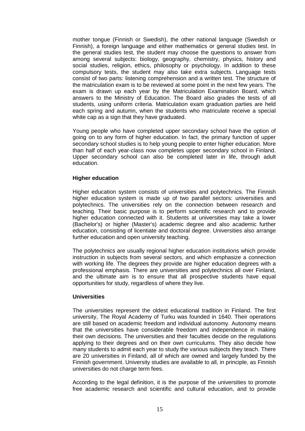mother tongue (Finnish or Swedish), the other national language (Swedish or Finnish), a foreign language and either mathematics or general studies test. In the general studies test, the student may choose the questions to answer from among several subjects: biology, geography, chemistry, physics, history and social studies, religion, ethics, philosophy or psychology. In addition to these compulsory tests, the student may also take extra subjects. Language tests consist of two parts: listening comprehension and a written test. The structure of the matriculation exam is to be reviewed at some point in the next few years. The exam is drawn up each year by the Matriculation Examination Board, which answers to the Ministry of Education. The Board also grades the tests of all students, using uniform criteria. Matriculation exam graduation parties are held each spring and autumn, when the students who matriculate receive a special white cap as a sign that they have graduated.

Young people who have completed upper secondary school have the option of going on to any form of higher education. In fact, the primary function of upper secondary school studies is to help young people to enter higher education. More than half of each year-class now completes upper secondary school in Finland. Upper secondary school can also be completed later in life, through adult education.

#### **Higher education**

Higher education system consists of universities and polytechnics. The Finnish higher education system is made up of two parallel sectors: universities and polytechnics. The universities rely on the connection between research and teaching. Their basic purpose is to perform scientific research and to provide higher education connected with it. Students at universities may take a lower (Bachelor's) or higher (Master's) academic degree and also academic further education, consisting of licentiate and doctoral degree. Universities also arrange further education and open university teaching.

The polytechnics are usually regional higher education institutions which provide instruction in subjects from several sectors, and which emphasize a connection with working life. The degrees they provide are higher education degrees with a professional emphasis. There are universities and polytechnics all over Finland, and the ultimate aim is to ensure that all prospective students have equal opportunities for study, regardless of where they live.

#### **Universities**

The universities represent the oldest educational tradition in Finland. The first university, The Royal Academy of Turku was founded in 1640. Their operations are still based on academic freedom and individual autonomy. Autonomy means that the universities have considerable freedom and independence in making their own decisions. The universities and their faculties decide on the regulations applying to their degrees and on their own curriculums. They also decide how many students to admit each year to study the various subjects they teach. There are 20 universities in Finland, all of which are owned and largely funded by the Finnish government. University studies are available to all, in principle, as Finnish universities do not charge term fees.

According to the legal definition, it is the purpose of the universities to promote free academic research and scientific and cultural education, and to provide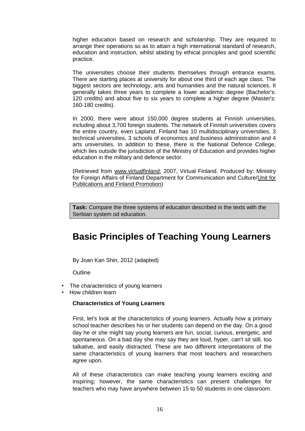higher education based on research and scholarship. They are required to arrange their operations so as to attain a high international standard of research, education and instruction, whilst abiding by ethical principles and good scientific practice.

The universities choose their students themselves through entrance exams. There are starting places at university for about one third of each age class. The biggest sectors are technology, arts and humanities and the natural sciences. It generally takes three years to complete a lower academic degree (Bachelor's: 120 credits) and about five to six years to complete a higher degree (Master's: 160-180 credits).

In 2000, there were about 150,000 degree students at Finnish universities, including about 3,700 foreign students. The network of Finnish universities covers the entire country, even Lapland. Finland has 10 multidisciplinary universities, 3 technical universities, 3 schools of economics and business administration and 4 arts universities. In addition to these, there is the National Defence College, which lies outside the jurisdiction of the Ministry of Education and provides higher education in the military and defence sector.

(Retrieved from [www.virtualfinland;](http://www.virtualfinland/) 2007, Virtual Finland. Produced by: Ministry for Foreign Affairs of Finland Department for Communication and Culture[/Unit for](http://formin.finland.fi/public/default.aspx?nodeid=15993&contentlan=2&culture=en-US)  Publications and [Finland Promotion\)](http://formin.finland.fi/public/default.aspx?nodeid=15993&contentlan=2&culture=en-US)

**Task:** Compare the three systems of education described in the texts with the Serbian system od education.

# **Basic Principles of Teaching Young Learners**

By Joan Kan Shin, 2012 (adapted)

**Outline** 

- The characteristics of young learners
- How children learn

#### **Characteristics of Young Learners**

First, let's look at the characteristics of young learners. Actually how a primary school teacher describes his or her students can depend on the day. On a good day he or she might say young learners are fun, social, curious, energetic, and spontaneous. On a bad day she may say they are loud, hyper, can't sit still, too talkative, and easily distracted. These are two different interpretations of the same characteristics of young learners that most teachers and researchers agree upon.

All of these characteristics can make teaching young learners exciting and inspiring; however, the same characteristics can present challenges for teachers who may have anywhere between 15 to 50 students in one classroom.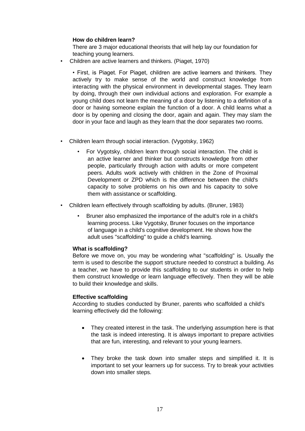#### **How do children learn?**

There are 3 major educational theorists that will help lay our foundation for teaching young learners.

• Children are active learners and thinkers. (Piaget, 1970)

• First, is Piaget. For Piaget, children are active learners and thinkers. They actively try to make sense of the world and construct knowledge from interacting with the physical environment in developmental stages. They learn by doing, through their own individual actions and exploration. For example a young child does not learn the meaning of a door by listening to a definition of a door or having someone explain the function of a door. A child learns what a door is by opening and closing the door, again and again. They may slam the door in your face and laugh as they learn that the door separates two rooms.

- Children learn through social interaction. (Vygotsky, 1962)
	- For Vygotsky, children learn through social interaction. The child is an active learner and thinker but constructs knowledge from other people, particularly through action with adults or more competent peers. Adults work actively with children in the Zone of Proximal Development or ZPD which is the difference between the child's capacity to solve problems on his own and his capacity to solve them with assistance or scaffolding.
- Children learn effectively through scaffolding by adults. (Bruner, 1983)
	- Bruner also emphasized the importance of the adult's role in a child's learning process. Like Vygotsky, Bruner focuses on the importance of language in a child's cognitive development. He shows how the adult uses "scaffolding" to guide a child's learning.

#### **What is scaffolding?**

Before we move on, you may be wondering what "scaffolding" is. Usually the term is used to describe the support structure needed to construct a building. As a teacher, we have to provide this scaffolding to our students in order to help them construct knowledge or learn language effectively. Then they will be able to build their knowledge and skills.

#### **Effective scaffolding**

According to studies conducted by Bruner, parents who scaffolded a child's learning effectively did the following:

- They created interest in the task. The underlying assumption here is that the task is indeed interesting. It is always important to prepare activities that are fun, interesting, and relevant to your young learners.
- They broke the task down into smaller steps and simplified it. It is important to set your learners up for success. Try to break your activities down into smaller steps.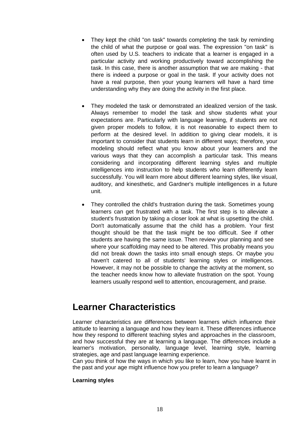- They kept the child "on task" towards completing the task by reminding the child of what the purpose or goal was. The expression "on task" is often used by U.S. teachers to indicate that a learner is engaged in a particular activity and working productively toward accomplishing the task. In this case, there is another assumption that we are making - that there is indeed a purpose or goal in the task. If your activity does not have a real purpose, then your young learners will have a hard time understanding why they are doing the activity in the first place.
- They modeled the task or demonstrated an idealized version of the task. Always remember to model the task and show students what your expectations are. Particularly with language learning, if students are not given proper models to follow, it is not reasonable to expect them to perform at the desired level. In addition to giving clear models, it is important to consider that students learn in different ways; therefore, your modeling should reflect what you know about your learners and the various ways that they can accomplish a particular task. This means considering and incorporating different learning styles and multiple intelligences into instruction to help students who learn differently learn successfully. You will learn more about different learning styles, like visual, auditory, and kinesthetic, and Gardner's multiple intelligences in a future unit.
- They controlled the child's frustration during the task. Sometimes young learners can get frustrated with a task. The first step is to alleviate a student's frustration by taking a closer look at what is upsetting the child. Don't automatically assume that the child has a problem. Your first thought should be that the task might be too difficult. See if other students are having the same issue. Then review your planning and see where your scaffolding may need to be altered. This probably means you did not break down the tasks into small enough steps. Or maybe you haven't catered to all of students' learning styles or intelligences. However, it may not be possible to change the activity at the moment, so the teacher needs know how to alleviate frustration on the spot. Young learners usually respond well to attention, encouragement, and praise.

### **Learner Characteristics**

Learner characteristics are differences between learners which influence their attitude to learning a language and how they learn it. These differences influence how they respond to different teaching styles and approaches in the classroom, and how successful they are at learning a language. The differences include a learner's motivation, personality, language level, learning style, learning strategies, age and past language learning experience.

Can you think of how the ways in which you like to learn, how you have learnt in the past and your age might influence how you prefer to learn a language?

#### **Learning styles**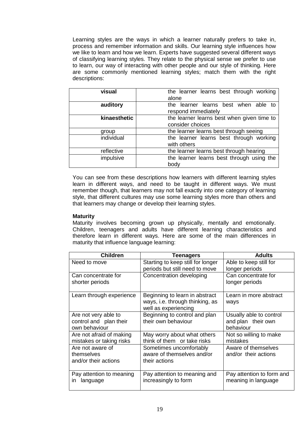Learning styles are the ways in which a learner naturally prefers to take in, process and remember information and skills. Our learning style influences how we like to learn and how we learn. Experts have suggested several different ways of classifying learning styles. They relate to the physical sense we prefer to use to learn, our way of interacting with other people and our style of thinking. Here are some commonly mentioned learning styles; match them with the right descriptions:

| visual       | the learner learns best through working<br>alone               |
|--------------|----------------------------------------------------------------|
| auditory     | learner learns best when able to<br>the<br>respond immediately |
| kinaesthetic | the learner learns best when given time to<br>consider choices |
| group        | the learner learns best through seeing                         |
| individual   | the learner learns best through working<br>with others         |
| reflective   | the learner learns best through hearing                        |
| impulsive    | the learner learns best through using the<br>body              |

You can see from these descriptions how learners with different learning styles learn in different ways, and need to be taught in different ways. We must remember though, that learners may not fall exactly into one category of learning style, that different cultures may use some learning styles more than others and that learners may change or develop their learning styles.

#### **Maturity**

Maturity involves becoming grown up physically, mentally and emotionally. Children, teenagers and adults have different learning characteristics and therefore learn in different ways. Here are some of the main differences in maturity that influence language learning:

| <b>Children</b>          | Teenagers                                               | <b>Adults</b>             |
|--------------------------|---------------------------------------------------------|---------------------------|
| Need to move             | Starting to keep still for longer                       | Able to keep still for    |
|                          | periods but still need to move                          | longer periods            |
| Can concentrate for      | Concentration developing                                | Can concentrate for       |
| shorter periods          |                                                         | longer periods            |
| Learn through experience | Beginning to learn in abstract                          | Learn in more abstract    |
|                          | ways, i.e. through thinking, as<br>well as experiencing | ways                      |
| Are not very able to     | Beginning to control and plan                           | Usually able to control   |
| control and plan their   | their own behaviour                                     | and plan their own        |
| own behaviour            |                                                         | behaviour                 |
| Are not afraid of making | May worry about what others                             | Not so willing to make    |
| mistakes or taking risks | think of them or take risks                             | mistakes                  |
| Are not aware of         | Sometimes uncomfortably                                 | Aware of themselves       |
| themselves               | aware of themselves and/or                              | and/or their actions      |
| and/or their actions     | their actions                                           |                           |
|                          |                                                         |                           |
| Pay attention to meaning | Pay attention to meaning and                            | Pay attention to form and |
| language<br>ın           | increasingly to form                                    | meaning in language       |
|                          |                                                         |                           |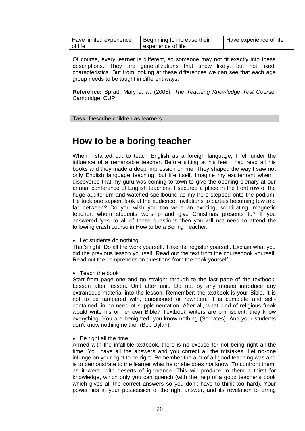| Have limited experience | Beginning to increase their | Have experience of life |
|-------------------------|-----------------------------|-------------------------|
| of life                 | experience of life          |                         |

Of course, every learner is different, so someone may not fit exactly into these descriptions. They are generalizations that show likely, but not fixed, characteristics. But from looking at these differences we can see that each age group needs to be taught in different ways.

**Reference:** Spratt, Mary et al. (2005): *The Teaching Knowledge Test Cour*se. Cambridge: CUP.

**Task:** Describe children as learners.

### **How to be a boring teacher**

When I started out to teach English as a foreign language, I fell under the influence of a remarkable teacher. Before sitting at his feet I had read all his books and they made a deep impression on me. They shaped the way I saw not only English language teaching, but life itself. Imagine my excitement when I discovered that my guru was coming to town to give the opening plenary at our annual conference of English teachers. I secured a place in the front row of the huge auditorium and watched spellbound as my hero stepped onto the podium. He took one sapient look at the audience, invitations to parties becoming few and far between? Do you wish you too were an exciting, scintillating, magnetic teacher, whom students worship and give Christmas presents to? If you answered 'yes' to all of these questions then you will not need to attend the following crash course in How to be a Boring Teacher.

• Let students do nothing

That's right. Do all the work yourself. Take the register yourself. Explain what you did the previous lesson yourself. Read out the text from the coursebook yourself. Read out the comprehension questions from the book yourself.

• Teach the book

Start from page one and go straight through to the last page of the textbook. Lesson after lesson. Unit after unit. Do not by any means introduce any extraneous material into the lesson. Remember: the textbook is your Bible. It is not to be tampered with, questioned or rewritten. It is complete and selfcontained, in no need of supplementation. After all, what kind of religious freak would write his or her own Bible? Textbook writers are omniscient; they know everything. You are benighted; you know nothing (Socrates). And your students don't know nothing neither (Bob Dylan).

Be right all the time

Armed with the infallible textbook, there is no excuse for not being right all the time. You have all the answers and you correct all the mistakes. Let no-one infringe on your right to be right. Remember the aim of all good teaching was and is to demonstrate to the learner what he or she does *not* know. To confront them, as it were, with deserts of ignorance. This will produce in them a thirst for knowledge, which only you can quench (with the help of a good teacher's book which gives all the correct answers so you don't have to think too hard). Your power lies in your possession of the right answer, and its revelation to erring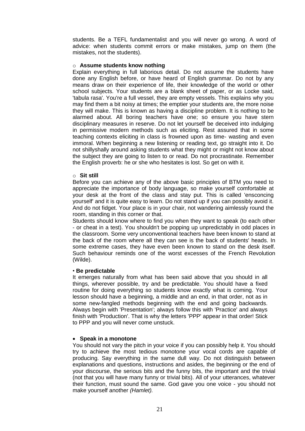students. Be a TEFL fundamentalist and you will never go wrong. A word of advice: when students commit errors or make mistakes, jump on them (the mistakes, not the students).

#### o **Assume students know nothing**

Explain everything in full laborious detail. Do not assume the students have done any English before, or have heard of English grammar. Do not by any means draw on their experience of life, their knowledge of the world or other school subjects. Your students are a blank sheet of paper, or as Locke said, 'tabula rasa'. You're a full vessel, they are empty vessels. This explains why you may find them a bit noisy at times; the emptier your students are, the more noise they will make. This is known as having a discipline problem. It is nothing to be alarmed about. All boring teachers have one; so ensure you have stern disciplinary measures in reserve. Do not let yourself be deceived into indulging in permissive modern methods such as eliciting. Rest assured that in some teaching contexts eliciting in class is frowned upon as time- wasting and even immoral. When beginning a new listening or reading text, go straight into it. Do not shillyshally around asking students what they might or might not know about the subject they are going to listen to or read. Do not procrastinate. Remember the English proverb: he or she who hesitates is lost. So get on with it.

#### o **Sit still**

Before you can achieve any of the above basic principles of BTM you need to appreciate the importance of body language, so make yourself comfortable at your desk at the front of the class and stay put. This is called 'ensconcing yourself' and it is quite easy to learn. Do not stand up if you can possibly avoid it. And do not fidget. Your place is in your chair, not wandering aimlessly round the room, standing in this corner or that.

Students should know where to find you when they want to speak (to each other - or cheat in a test). You shouldn't be popping up unpredictably in odd places in the classroom. Some very unconventional teachers have been known to stand at the back of the room where all they can see is the back of students' heads. In some extreme cases, they have even been known to stand on the desk itself. Such behaviour reminds one of the worst excesses of the French Revolution (Wilde).

#### • **Be predictable**

It emerges naturally from what has been said above that you should in all things, wherever possible, try and be predictable. You should have a fixed routine for doing everything so students know exactly what is coming. Your lesson should have a beginning, a middle and an end, in that order, not as in some new-fangled methods beginning with the end and going backwards. Always begin with 'Presentation'; always follow this with 'Practice' and always finish with 'Production'. That is why the letters 'PPP' appear in that order! Stick to PPP and you will never come unstuck.

#### **Speak in a monotone**

You should not vary the pitch in your voice if you can possibly help it. You should try to achieve the most tedious monotone your vocal cords are capable of producing. Say everything in the same dull way. Do not distinguish between explanations and questions, instructions and asides, the beginning or the end of your discourse, the serious bits and the funny bits, the important and the trivial (not that you will have many funny or trivial bits). All of your utterances, whatever their function, must sound the same. God gave you one voice - you should not make yourself another *(Hamlet).*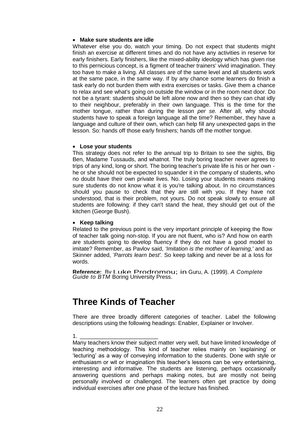#### **Make sure students are idle**

Whatever else you do, watch your timing. Do not expect that students might finish an exercise at different times and do not have any activities in reserve for early finishers. Early finishers, like the mixed-ability ideology which has given rise to this pernicious concept, is a figment of teacher trainers' vivid imagination. They too have to make a living. All classes are of the same level and all students work at the same pace, in the same way. If by any chance some learners do finish a task early do not burden them with extra exercises or tasks. Give them a chance to relax and see what's going on outside the window or in the room next door. Do not be a tyrant: students should be left alone now and then so they can chat idly to their neighbour, preferably in their own language. This is the time for the mother tongue, rather than during the lesson *per se.* After all, why should students have to speak a foreign language all the time? Remember, they have a language and culture of their own, which can help fill any unexpected gaps in the lesson. So: hands off those early finishers; hands off the mother tongue.

#### **Lose your students**

This strategy does not refer to the annual trip to Britain to see the sights, Big Ben, Madame Tussauds, and whatnot. The truly boring teacher never agrees to trips of any kind, long or short. The boring teacher's private life is his or her own he or she should not be expected to squander it in the company of students, who no doubt have their own private lives. No. Losing your students means making sure students do not know what it is you're talking about. In no circumstances should you pause to check that they are still with you. If they have not understood, that is their problem, not yours. Do not speak slowly to ensure all students are following: if they can't stand the heat, they should get out of the kitchen (George Bush).

#### **Keep talking**

Related to the previous point is the very important principle of keeping the flow of teacher talk going non-stop. If you are not fluent, who is? And how on earth are students going to develop fluency if they do not have a good model to imitate? Remember, as Pavlov said, *'Imitation is the mother of learning,'* and as Skinner added, *'Parrots learn best'.* So keep talking and never be at a loss for words.

**Reference:** By Luke Prodromou; in Guru, A. (1999). *A Complete Guide to BTM* Boring University Press.

# **Three Kinds of Teacher**

There are three broadly different categories of teacher. Label the following descriptions using the following headings: Enabler, Explainer or Involver.

<sup>1.</sup> \_\_\_\_\_\_\_\_\_\_\_\_\_\_\_\_\_\_\_\_\_\_\_\_\_

Many teachers know their subject matter very well, but have limited knowledge of teaching methodology. This kind of teacher relies mainly on "explaining" or "lecturing" as a way of conveying information to the students. Done with style or enthusiasm or wit or imagination this teacher"s lessons can be very entertaining, interesting and informative. The students are listening, perhaps occasionally answering questions and perhaps making notes, but are mostly not being personally involved or challenged. The learners often get practice by doing individual exercises after one phase of the lecture has finished.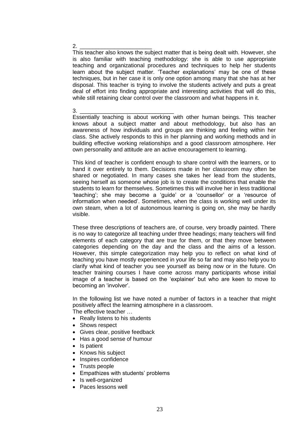2. \_\_\_\_\_\_\_\_\_\_\_\_\_\_\_\_\_\_\_\_\_\_\_ This teacher also knows the subject matter that is being dealt with. However, she is also familiar with teaching methodology: she is able to use appropriate teaching and organizational procedures and techniques to help her students learn about the subject matter. 'Teacher explanations' may be one of these techniques, but in her case it is only one option among many that she has at her disposal. This teacher is trying to involve the students actively and puts a great deal of effort into finding appropriate and interesting activities that will do this, while still retaining clear control over the classroom and what happens in it.

3. \_\_\_\_\_\_\_\_\_\_\_\_\_\_\_\_\_\_\_\_\_\_\_\_\_\_\_\_\_\_

Essentially teaching is about working with other human beings. This teacher knows about a subject matter and about methodology, but also has an awareness of how individuals and groups are thinking and feeling within her class. She actively responds to this in her planning and working methods and in building effective working relationships and a good classroom atmosphere. Her own personality and attitude are an active encouragement to learning.

This kind of teacher is confident enough to share control with the learners, or to hand it over entirely to them. Decisions made in her classroom may often be shared or negotiated. In many cases she takes her lead from the students, seeing herself as someone whose job is to create the conditions that enable the students to learn for themselves. Sometimes this will involve her in less traditional 'teaching'; she may become a 'guide' or a 'counsellor' or a 'resource of information when needed". Sometimes, when the class is working well under its own steam, when a lot of autonomous learning is going on, she may be hardly visible.

These three descriptions of teachers are, of course, very broadly painted. There is no way to categorize all teaching under three headings; many teachers will find elements of each category that are true for them, or that they move between categories depending on the day and the class and the aims of a lesson. However, this simple categorization may help you to reflect on what kind of teaching you have mostly experienced in your life so far and may also help you to clarify what kind of teacher you see yourself as being now or in the future. On teacher training courses I have come across many participants whose initial image of a teacher is based on the "explainer" but who are keen to move to becoming an "involver".

In the following list we have noted a number of factors in a teacher that might positively affect the learning atmosphere in a classroom.

The effective teacher …

- Really listens to his students
- Shows respect
- Gives clear, positive feedback
- Has a good sense of humour
- Is patient
- Knows his subject
- Inspires confidence
- Trusts people
- Empathizes with students' problems
- Is well-organized
- Paces lessons well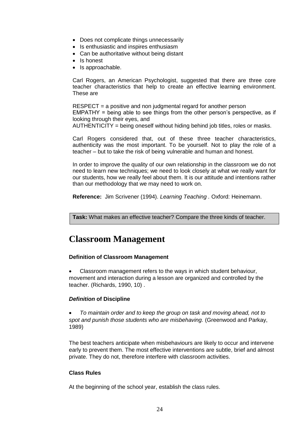- Does not complicate things unnecessarily
- Is enthusiastic and inspires enthusiasm
- Can be authoritative without being distant
- Is honest
- Is approachable.

Carl Rogers, an American Psychologist, suggested that there are three core teacher characteristics that help to create an effective learning environment. These are

RESPECT = a positive and non judgmental regard for another person EMPATHY = being able to see things from the other person"s perspective, as if looking through their eyes, and AUTHENTICITY = being oneself without hiding behind job titles, roles or masks.

Carl Rogers considered that, out of these three teacher characteristics, authenticity was the most important. To be yourself. Not to play the role of a teacher – but to take the risk of being vulnerable and human and honest.

In order to improve the quality of our own relationship in the classroom we do not need to learn new techniques; we need to look closely at what we really want for our students, how we really feel about them. It is our attitude and intentions rather than our methodology that we may need to work on.

**Reference:** Jim Scrivener (1994). *Learning Teaching .* Oxford: Heinemann.

**Task:** What makes an effective teacher? Compare the three kinds of teacher.

### **Classroom Management**

#### **Definition of Classroom Management**

 Classroom management refers to the ways in which student behaviour, movement and interaction during a lesson are organized and controlled by the teacher. (Richards, 1990, 10) .

#### *Definition* **of Discipline**

 *To maintain order and to keep the group on task and moving ahead, not to spot and punish those students who are misbehaving.* (Greenwood and Parkay, 1989)

The best teachers anticipate when misbehaviours are likely to occur and intervene early to prevent them. The most effective interventions are subtle, brief and almost private. They do not, therefore interfere with classroom activities.

#### **Class Rules**

At the beginning of the school year, establish the class rules.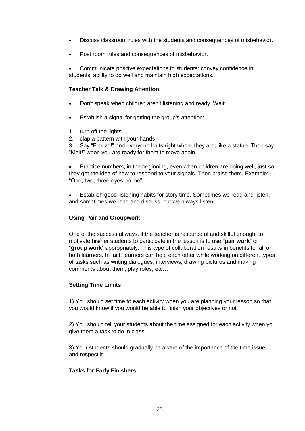- Discuss classroom rules with the students and consequences of misbehavior.
- Post room rules and consequences of misbehavior.

 Communicate positive expectations to students: convey confidence in students' ability to do well and maintain high expectations.

#### **Teacher Talk & Drawing Attention**

- Don't speak when children aren't listening and ready. Wait.
- Establish a signal for getting the group's attention:
- 1. turn off the lights
- 2. clap a pattern with your hands

3. Say "Freeze!" and everyone halts right where they are, like a statue. Then say "Melt!" when you are ready for them to move again.

 Practice numbers, in the beginning, even when children are doing well, just so they get the idea of how to respond to your signals. Then praise them. Example: "One, two, three eyes on me"

 Establish good listening habits for story time. Sometimes we read and listen, and sometimes we read and discuss, but we always listen.

#### **Using Pair and Groupwork**

One of the successful ways, if the teacher is resourceful and skilful enough, to motivate his/her students to participate in the lesson is to use "**pair work**" or "**group work**" appropriately. This type of collaboration results in benefits for all or both learners. In fact, learners can help each other while working on different types of tasks such as writing dialogues, interviews, drawing pictures and making comments about them, play roles, etc…

#### **Setting Time Limits**

1) You should set time to each activity when you are planning your lesson so that you would know if you would be able to finish your objectives or not.

2) You should tell your students about the time assigned for each activity when you give them a task to do in class.

3) Your students should gradually be aware of the importance of the time issue and respect it.

#### **Tasks for Early Finishers**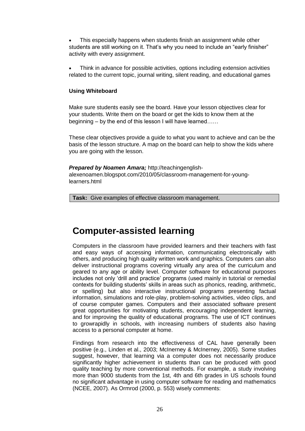This especially happens when students finish an assignment while other students are still working on it. That"s why you need to include an "early finisher" activity with every assignment.

 Think in advance for possible activities, options including extension activities related to the current topic, journal writing, silent reading, and educational games

#### **Using Whiteboard**

Make sure students easily see the board. Have your lesson objectives clear for your students. Write them on the board or get the kids to know them at the beginning – by the end of this lesson I will have learned……

These clear objectives provide a guide to what you want to achieve and can be the basis of the lesson structure. A map on the board can help to show the kids where you are going with the lesson.

#### *Prepared by Noamen Amara;* http://teachingenglish-

alexenoamen.blogspot.com/2010/05/classroom-management-for-younglearners.html

**Task:** Give examples of effective classroom management.

# **Computer-assisted learning**

Computers in the classroom have provided learners and their teachers with fast and easy ways of accessing information, communicating electronically with others, and producing high quality written work and graphics. Computers can also deliver instructional programs covering virtually any area of the curriculum and geared to any age or ability level. Computer software for educational purposes includes not only "drill and practice" programs (used mainly in tutorial or remedial contexts for building students" skills in areas such as phonics, reading, arithmetic, or spelling) but also interactive instructional programs presenting factual information, simulations and role-play, problem-solving activities, video clips, and of course computer games. Computers and their associated software present great opportunities for motivating students, encouraging independent learning, and for improving the quality of educational programs. The use of ICT continues to growrapidly in schools, with increasing numbers of students also having access to a personal computer at home.

Findings from research into the effectiveness of CAL have generally been positive (e.g., Linden et al., 2003; McInerney & McInerney, 2005). Some studies suggest, however, that learning via a computer does not necessarily produce significantly higher achievement in students than can be produced with good quality teaching by more conventional methods. For example, a study involving more than 9000 students from the 1st, 4th and 6th grades in US schools found no significant advantage in using computer software for reading and mathematics (NCEE, 2007). As Ormrod (2000, p. 553) wisely comments: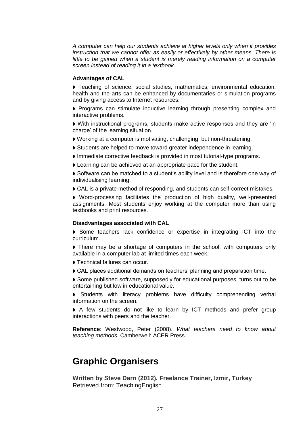*A computer can help our students achieve at higher levels only when it provides instruction that we cannot offer as easily or effectively by other means. There is little to be gained when a student is merely reading information on a computer screen instead of reading it in a textbook.*

#### **Advantages of CAL**

◗ Teaching of science, social studies, mathematics, environmental education, health and the arts can be enhanced by documentaries or simulation programs and by giving access to Internet resources.

◗ Programs can stimulate inductive learning through presenting complex and interactive problems.

◗ With instructional programs, students make active responses and they are "in charge" of the learning situation.

- ◗ Working at a computer is motivating, challenging, but non-threatening.
- ◗ Students are helped to move toward greater independence in learning.
- ◗ Immediate corrective feedback is provided in most tutorial-type programs.
- ◗ Learning can be achieved at an appropriate pace for the student.

◗ Software can be matched to a student"s ability level and is therefore one way of individualising learning.

◗ CAL is a private method of responding, and students can self-correct mistakes.

◗ Word-processing facilitates the production of high quality, well-presented assignments. Most students enjoy working at the computer more than using textbooks and print resources.

#### **Disadvantages associated with CAL**

◗ Some teachers lack confidence or expertise in integrating ICT into the curriculum.

◗ There may be a shortage of computers in the school, with computers only available in a computer lab at limited times each week.

- ◗ Technical failures can occur.
- CAL places additional demands on teachers' planning and preparation time.

◗ Some published software, supposedly for educational purposes, turns out to be entertaining but low in educational value.

◗ Students with literacy problems have difficulty comprehending verbal information on the screen.

◗ A few students do not like to learn by ICT methods and prefer group interactions with peers and the teacher.

**Reference**: Westwood, Peter (2008). *What teachers need to know about teaching methods.* Camberwell: ACER Press.

### **Graphic Organisers**

**Written by Steve Darn (2012), Freelance Trainer, Izmir, Turkey** Retrieved from: TeachingEnglish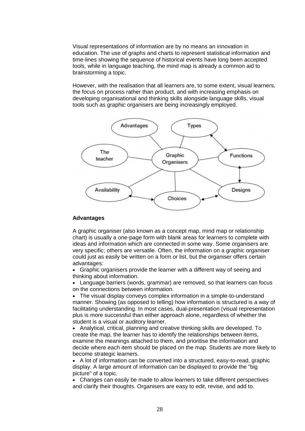Visual representations of information are by no means an innovation in education. The use of graphs and charts to represent statistical information and time-lines showing the sequence of historical events have long been accepted tools, while in language teaching, the mind map is already a common aid to brainstorming a topic.

However, with the realisation that all learners are, to some extent, visual learners, the focus on process rather than product, and with increasing emphasis on developing organisational and thinking skills alongside language skills, visual tools such as graphic organisers are being increasingly employed.



#### **Advantages**

A graphic organiser (also known as a concept map, mind map or relationship chart) is usually a one-page form with blank areas for learners to complete with ideas and information which are connected in some way. Some organisers are very specific; others are versatile. Often, the information on a graphic organiser could just as easily be written on a form or list, but the organiser offers certain advantages:

 Graphic organisers provide the learner with a different way of seeing and thinking about information.

 Language barriers (words, grammar) are removed, so that learners can focus on the connections between information.

 The visual display conveys complex information in a simple-to-understand manner. Showing (as opposed to telling) how information is structured is a way of facilitating understanding. In most cases, dual-presentation (visual representation plus is more successful than either approach alone, regardless of whether the student is a visual or auditory learner.

 Analytical, critical, planning and creative thinking skills are developed. To create the map, the learner has to identify the relationships between items, examine the meanings attached to them, and prioritise the information and decide where each item should be placed on the map. Students are more likely to become strategic learners.

 A lot of information can be converted into a structured, easy-to-read, graphic display. A large amount of information can be displayed to provide the "big picture" of a topic.

 Changes can easily be made to allow learners to take different perspectives and clarify their thoughts. Organisers are easy to edit, revise, and add to.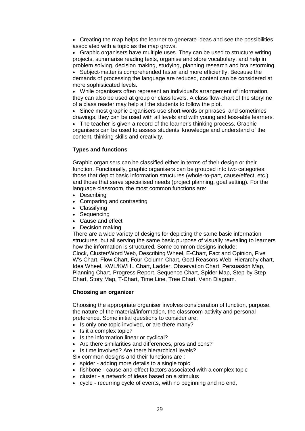Creating the map helps the learner to generate ideas and see the possibilities associated with a topic as the map grows.

 Graphic organisers have multiple uses. They can be used to structure writing projects, summarise reading texts, organise and store vocabulary, and help in problem solving, decision making, studying, planning research and brainstorming. Subject-matter is comprehended faster and more efficiently. Because the demands of processing the language are reduced, content can be considered at more sophisticated levels.

 While organisers often represent an individual's arrangement of information, they can also be used at group or class levels. A class flow-chart of the storyline of a class reader may help all the students to follow the plot.

• Since most graphic organisers use short words or phrases, and sometimes drawings, they can be used with all levels and with young and less-able learners.

• The teacher is given a record of the learner's thinking process. Graphic organisers can be used to assess students' knowledge and understand of the content, thinking skills and creativity.

#### **Types and functions**

Graphic organisers can be classified either in terms of their design or their function. Functionally, graphic organisers can be grouped into two categories: those that depict basic information structures (whole-to-part, cause/effect, etc.) and those that serve specialised needs (project planning, goal setting). For the language classroom, the most common functions are:

- Describing
- Comparing and contrasting
- Classifying
- Sequencing
- Cause and effect
- Decision making

There are a wide variety of designs for depicting the same basic information structures, but all serving the same basic purpose of visually revealing to learners how the information is structured. Some common designs include: Clock, Cluster/Word Web, Describing Wheel, E-Chart, Fact and Opinion, Five W's Chart, Flow Chart, Four-Column Chart, Goal-Reasons Web, Hierarchy chart, Idea Wheel, KWL/KWHL Chart, Ladder, Observation Chart, Persuasion Map, Planning Chart, Progress Report, Sequence Chart, Spider Map, Step-by-Step Chart, Story Map, T-Chart, Time Line, Tree Chart, Venn Diagram.

#### **Choosing an organizer**

Choosing the appropriate organiser involves consideration of function, purpose, the nature of the material/information, the classroom activity and personal preference. Some initial questions to consider are:

- Is only one topic involved, or are there many?
- $\bullet$  Is it a complex topic?
- Is the information linear or cyclical?
- Are there similarities and differences, pros and cons?
- Is time involved? Are there hierarchical levels?
- Six common designs and their functions are :
- spider adding more details to a single topic
- fishbone cause-and-effect factors associated with a complex topic
- cluster a network of ideas based on a stimulus
- cycle recurring cycle of events, with no beginning and no end,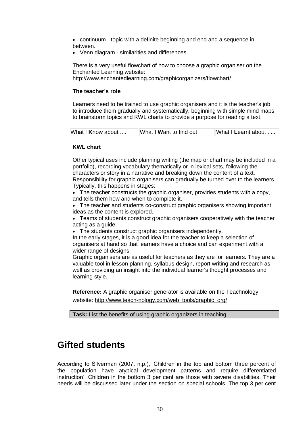continuum - topic with a definite beginning and end and a sequence in between.

Venn diagram - similarities and differences

There is a very useful flowchart of how to choose a graphic organiser on the Enchanted Learning website:

<http://www.enchantedlearning.com/graphicorganizers/flowchart/>

#### **The teacher's role**

Learners need to be trained to use graphic organisers and it is the teacher's job to introduce them gradually and systematically, beginning with simple mind maps to brainstorm topics and KWL charts to provide a purpose for reading a text.

| What I Know about | What I <b>Want to find out</b> | What I Learnt about |
|-------------------|--------------------------------|---------------------|

#### **KWL chart**

Other typical uses include planning writing (the map or chart may be included in a portfolio), recording vocabulary thematically or in lexical sets, following the characters or story in a narrative and breaking down the content of a text. Responsibility for graphic organisers can gradually be turned over to the learners. Typically, this happens in stages:

• The teacher constructs the graphic organiser, provides students with a copy, and tells them how and when to complete it.

• The teacher and students co-construct graphic organisers showing important ideas as the content is explored.

 Teams of students construct graphic organisers cooperatively with the teacher acting as a guide.

The students construct graphic organisers independently.

In the early stages, it is a good idea for the teacher to keep a selection of organisers at hand so that learners have a choice and can experiment with a wider range of designs.

Graphic organisers are as useful for teachers as they are for learners. They are a valuable tool in lesson planning, syllabus design, report writing and research as well as providing an insight into the individual learner's thought processes and learning style.

**Reference:** A graphic organiser generator is available on the Teachnology website: [http://www.teach-nology.com/web\\_tools/graphic\\_org/](http://www.teach-nology.com/web_tools/graphic_org/)

**Task:** List the benefits of using graphic organizers in teaching.

# **Gifted students**

According to Silverman (2007, n.p.), "Children in the top and bottom three percent of the population have atypical development patterns and require differentiated instruction". Children in the bottom 3 per cent are those with severe disabilities. Their needs will be discussed later under the section on special schools. The top 3 per cent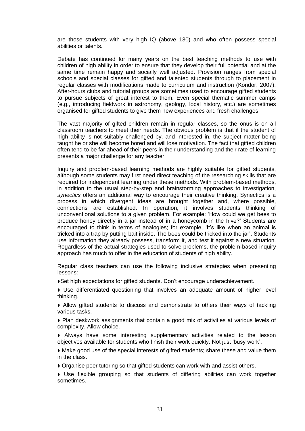are those students with very high IQ (above 130) and who often possess special abilities or talents.

Debate has continued for many years on the best teaching methods to use with children of high ability in order to ensure that they develop their full potential and at the same time remain happy and socially well adjusted. Provision ranges from special schools and special classes for gifted and talented students through to placement in regular classes with modifications made to curriculum and instruction (Kondor, 2007). After-hours clubs and tutorial groups are sometimes used to encourage gifted students to pursue subjects of great interest to them. Even special thematic summer camps (e.g., introducing fieldwork in astronomy, geology, local history, etc.) are sometimes organised for gifted students to give them new experiences and fresh challenges.

The vast majority of gifted children remain in regular classes, so the onus is on all classroom teachers to meet their needs. The obvious problem is that if the student of high ability is not suitably challenged by, and interested in, the subject matter being taught he or she will become bored and will lose motivation. The fact that gifted children often tend to be far ahead of their peers in their understanding and their rate of learning presents a major challenge for any teacher.

Inquiry and problem-based learning methods are highly suitable for gifted students, although some students may first need direct teaching of the researching skills that are required for independent learning under these methods. With problem-based methods, in addition to the usual step-by-step and brainstorming approaches to investigation, *synectics* offers an additional way to encourage their creative thinking. Synectics is a process in which divergent ideas are brought together and, where possible, connections are established. In operation, it involves students thinking of unconventional solutions to a given problem. For example: "How could we get bees to produce honey directly in a jar instead of in a honeycomb in the hive?" Students are encouraged to think in terms of analogies; for example, 'It's like when an animal is tricked into a trap by putting bait inside. The bees could be tricked into the jar". Students use information they already possess, transform it, and test it against a new situation. Regardless of the actual strategies used to solve problems, the problem-based inquiry approach has much to offer in the education of students of high ability.

Regular class teachers can use the following inclusive strategies when presenting lessons:

◗Set high expectations for gifted students. Don"t encourage underachievement.

◗ Use differentiated questioning that involves an adequate amount of higher level thinking.

◗ Allow gifted students to discuss and demonstrate to others their ways of tackling various tasks.

◗ Plan deskwork assignments that contain a good mix of activities at various levels of complexity. Allow choice.

◗ Always have some interesting supplementary activities related to the lesson objectives available for students who finish their work quickly. Not just "busy work".

◗ Make good use of the special interests of gifted students; share these and value them in the class.

◗ Organise peer tutoring so that gifted students can work with and assist others.

◗ Use flexible grouping so that students of differing abilities can work together sometimes.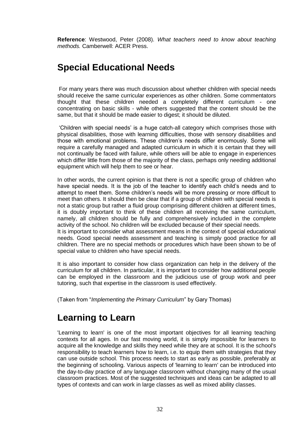**Reference**: Westwood, Peter (2008). *What teachers need to know about teaching methods.* Camberwell: ACER Press.

# **Special Educational Needs**

For many years there was much discussion about whether children with special needs should receive the same curricular experiences as other children. Some commentators thought that these children needed a completely different curriculum - one concentrating on basic skills - while others suggested that the content should be the same, but that it should be made easier to digest; it should be diluted.

"Children with special needs" is a huge catch-all category which comprises those with physical disabilities, those with learning difficulties, those with sensory disabilities and those with emotional problems. These children"s needs differ enormously. Some will require a carefully managed and adapted curriculum in which it is certain that they will not continually be faced with failure, while others will be able to engage in experiences which differ little from those of the majority of the class, perhaps only needing additional equipment which will help them to see or hear.

In other words, the current opinion is that there is not a specific group of children who have special needs. It is the job of the teacher to identify each child"s needs and to attempt to meet them. Some children"s needs will be more pressing or more difficult to meet than others. It should then be clear that if a group of children with special needs is not a static group but rather a fluid group comprising different children at different times, it is doubly important to think of these children all receiving the same curriculum, namely, all children should be fully and comprehensively included in the complete activity of the school. No children will be excluded because of their special needs. It is important to consider what assessment means in the context of special educational needs. Good special needs assessment and teaching is simply good practice for all children. There are no special methods or procedures which have been shown to be of special value to children who have special needs.

It is also important to consider how class organization can help in the delivery of the curriculum for all children. In particular, it is important to consider how additional people can be employed in the classroom and the judicious use of group work and peer tutoring, such that expertise in the classroom is used effectively.

(Taken from "*Implementing the Primary Curriculum*" by Gary Thomas)

# **Learning to Learn**

'Learning to learn' is one of the most important objectives for all learning teaching contexts for all ages. In our fast moving world, it is simply impossible for learners to acquire all the knowledge and skills they need while they are at school. It is the school's responsibility to teach learners how to learn, i.e. to equip them with strategies that they can use outside school. This process needs to start as early as possible, preferably at the beginning of schooling. Various aspects of 'learning to learn' can be introduced into the day-to-day practice of any language classroom without changing many of the usual classroom practices. Most of the suggested techniques and ideas can be adapted to all types of contexts and can work in large classes as well as mixed ability classes.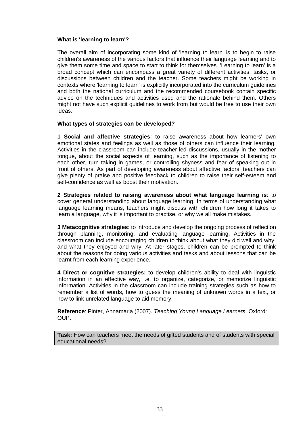#### **What is 'learning to learn'?**

The overall aim of incorporating some kind of 'learning to learn' is to begin to raise children's awareness of the various factors that influence their language learning and to give them some time and space to start to think for themselves. 'Learning to learn' is a broad concept which can encompass a great variety of different activities, tasks, or discussions between children and the teacher. Some teachers might be working in contexts where 'learning to learn' is explicitly incorporated into the curriculum guidelines and both the national curriculum and the recommended coursebook contain specific advice on the techniques and activities used and the rationale behind them. Others might not have such explicit guidelines to work from but would be free to use their own ideas.

#### **What types of strategies can be developed?**

**1 Social and affective strategies**: to raise awareness about how learners' own emotional states and feelings as well as those of others can influence their learning. Activities in the classroom can include teacher-led discussions, usually in the mother tongue, about the social aspects of learning, such as the importance of listening to each other, turn taking in games, or controlling shyness and fear of speaking out in front of others. As part of developing awareness about affective factors, teachers can give plenty of praise and positive feedback to children to raise their self-esteem and self-confidence as well as boost their motivation.

**2 Strategies related to raising awareness about what language learning is**: to cover general understanding about language learning. In terms of understanding what language learning means, teachers might discuss with children how long it takes to learn a language, why it is important to practise, or why we all make mistakes.

**3 Metacognitive strategies**: to introduce and develop the ongoing process of reflection through planning, monitoring, and evaluating language learning. Activities in the classroom can include encouraging children to think about what they did well and why, and what they enjoyed and why. At later stages, children can be prompted to think about the reasons for doing various activities and tasks and about lessons that can be learnt from each learning experience.

**4 Direct or cognitive strategies:** to develop children's ability to deal with linguistic information in an effective way, i.e. to organize, categorize, or memorize linguistic information. Activities in the classroom can include training strategies such as how to remember a list of words, how to guess the meaning of unknown words in a text, or how to link unrelated language to aid memory.

**Reference**: Pinter, Annamaria (2007). *Teaching Young Language Learners*. Oxford: OUP.

**Task:** How can teachers meet the needs of gifted students and of students with special educational needs?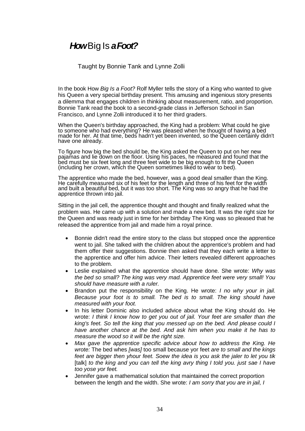# *How* Big Is *a Foot?*

#### Taught by Bonnie Tank and Lynne Zolli

In the book How *Big Is a Foot?* Rolf Myller tells the story of a King who wanted to give his Queen a very special birthday present. This amusing and ingenious story presents a dilemma that engages children in thinking about measurement, ratio, and proportion. Bonnie Tank read the book to a second-grade class in Jefferson School in San Francisco, and Lynne Zolli introduced it to her third graders.

When the Queen's birthday approached, the King had a problem: What could he give to someone who had everything? He was pleased when he thought of having a bed made for her. At that time, beds hadn't yet been invented, so the Queen certainly didn't have one already.

To figure how big the bed should be, the King asked the Queen to put on her new pajamas and lie down on the floor. Using his paces, he measured and found that the bed must be six feet long and three feet wide to be big enough to fit the Queen (including her crown, which the Queen sometimes liked to wear to bed).

The apprentice who made the bed, however, was a good deal smaller than the King. He carefully measured six of his feet for the length and three of his feet for the width and built a beautiful bed, but it was too short. The King was so angry that he had the apprentice thrown into jail.

Sitting in the jail cell, the apprentice thought and thought and finally realized what the problem was. He came up with a solution and made a new bed. It was the right size for the Queen and was ready just in time for her birthday The King was so pleased that he released the apprentice from jail and made him a royal prince.

- Bonnie didn't read the entire story to the class but stopped once the apprentice went to jail. She talked with the children about the apprentice's problem and had them offer their suggestions. Bonnie then asked that they each write a letter to the apprentice and offer him advice. Their letters revealed different approaches to the problem.
- Leslie explained what the apprentice should have done. She wrote: *Why was the bed so small? The king was very mad. Apprentice feet were very small! You should have measure with a ruler.*
- Brandon put the responsibility on the King. He wrote: *I no why your in jail. Because your foot is to small. The bed is to small. The king should have measured with your foot.*
- In his letter Dominic also included advice about what the King should do. He wrote: *I think I know how to get you out of jail. Your feet are smaller than the king's feet. So tell the king that you messed up on the bed. And please could I have another chance at the bed. And ask him when you make it he has to measure the wood so it will be the right size.*
- *Max gave the apprentice specific advice about how to address the King. He wrote:* The bed whes *[was]* too small because yor feet *are to small and the kings feet are bigger then yhour feet. Soew the idea is you ask the jaler to let you tik* [talk] *to the king and you can tell the king avry thing I told you. just sae I have too yose yor feet.*
- Jennifer gave a mathematical solution that maintained the correct proportion between the length and the width. She wrote: *I am sorry that you are in jail, I*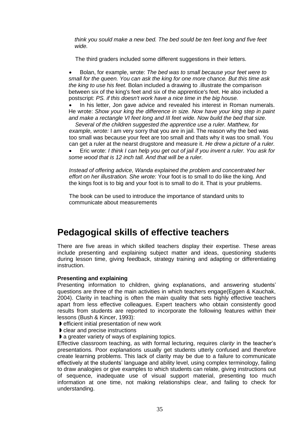*think you sould make a new bed. The bed sould be ten feet long and five feet wide.*

The third graders included some different suggestions in their letters.

 Bolan, for example, wrote: *The bed was to small because your feet were to small for the queen. You can ask the king for one more chance. But this time ask the king to use his feet.* Bolan included a drawing to .illustrate the comparison between six of the king's feet and six of the apprentice's feet. He also included a postscript: *PS. if this doesn't work have a nice time in the big house.*

 In his letter, Jon gave advice and revealed his interest in Roman numerals. He wrote: *Show your king the difference in size. Now have your king step in paint and make a rectangle VI feet long and III feet wide. Now build the bed that size.*

*Several of the children suggested the apprentice use a ruler. Matthew, for example, wrote:* I am very sorry that you are in jail. The reason why the bed was too small was because your feet are too small and thats why it was too small. You can get a ruler at the nearst drugstore and measure it. *He drew a picture of a ruler.*

 Eric wrote: *I think I can help you get out of jail if you invent a ruler. You ask for some wood that is 12 inch tall. And that will be a ruler.*

*Instead of offering advice, Wanda explained the problem and concentrated her effort on her illustration. She wrote:* Your foot is to small to do like the king. And the kings foot is to big and your foot is to small to do it. That is your prublems.

The book can be used to introduce the importance of standard units to communicate about measurements

# **Pedagogical skills of effective teachers**

There are five areas in which skilled teachers display their expertise. These areas include presenting and explaining subject matter and ideas, questioning students during lesson time, giving feedback, strategy training and adapting or differentiating instruction.

#### **Presenting and explaining**

Presenting information to children, giving explanations, and answering students' questions are three of the main activities in which teachers engage(Eggen & Kauchak, 2004). Clarity in teaching is often the main quality that sets highly effective teachers apart from less effective colleagues. Expert teachers who obtain consistently good results from students are reported to incorporate the following features within their lessons (Bush & Kincer, 1993):

- ◗ efficient initial presentation of new work
- ◗ clear and precise instructions
- ◗ a greater variety of ways of explaining topics.

Effective classroom teaching, as with formal lecturing, requires *clarity* in the teacher"s presentations*.* Poor explanations usually get students utterly confused and therefore create learning problems. This lack of clarity may be due to a failure to communicate effectively at the students' language and ability level, using complex terminology, failing to draw analogies or give examples to which students can relate, giving instructions out of sequence, inadequate use of visual support material, presenting too much information at one time, not making relationships clear, and failing to check for understanding.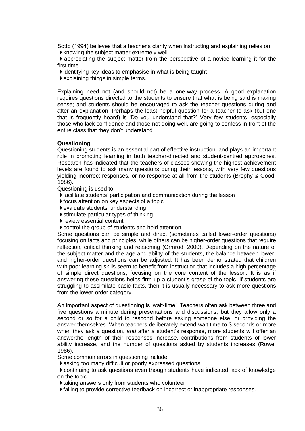Sotto (1994) believes that a teacher's clarity when instructing and explaining relies on: ◗ knowing the subject matter extremely well

◗ appreciating the subject matter from the perspective of a novice learning it for the first time

- ◗ identifying key ideas to emphasise in what is being taught
- ◗ explaining things in simple terms.

Explaining need not (and should not) be a one-way process. A good explanation requires questions directed to the students to ensure that what is being said is making sense; and students should be encouraged to ask the teacher questions during and after an explanation. Perhaps the least helpful question for a teacher to ask (but one that is frequently heard) is "Do you understand that?" Very few students, especially those who lack confidence and those not doing well, are going to confess in front of the entire class that they don"t understand.

#### **Questioning**

Questioning students is an essential part of effective instruction, and plays an important role in promoting learning in both teacher-directed and student-centred approaches. Research has indicated that the teachers of classes showing the highest achievement levels are found to ask many questions during their lessons, with very few questions yielding incorrect responses, or no response at all from the students (Brophy & Good, 1986).

Questioning is used to:

- ◗ facilitate students" participation and communication during the lesson
- ◗ focus attention on key aspects of a topic
- ◗ evaluate students" understanding
- ◗ stimulate particular types of thinking
- ◗ review essential content
- ◗ control the group of students and hold attention.

Some questions can be simple and direct (sometimes called lower-order questions) focusing on facts and principles, while others can be higher-order questions that require reflection, critical thinking and reasoning (Ormrod, 2000). Depending on the nature of the subject matter and the age and ability of the students, the balance between lowerand higher-order questions can be adjusted. It has been demonstrated that children with poor learning skills seem to benefit from instruction that includes a high percentage of simple direct questions, focusing on the core content of the lesson. It is as if answering these questions helps firm up a student"s grasp of the topic. If students are struggling to assimilate basic facts, then it is usually necessary to ask more questions from the lower-order category.

An important aspect of questioning is 'wait-time'. Teachers often ask between three and five questions a minute during presentations and discussions, but they allow only a second or so for a child to respond before asking someone else, or providing the answer themselves. When teachers deliberately extend wait time to 3 seconds or more when they ask a question, *and* after a student's response, more students will offer an answerthe length of their responses increase, contributions from students of lower ability increase, and the number of questions asked by students increases (Rowe, 1986).

Some common errors in questioning include:

◗ asking too many difficult or poorly expressed questions

◗ continuing to ask questions even though students have indicated lack of knowledge on the topic

- ◗ taking answers only from students who volunteer
- ◗ failing to provide corrective feedback on incorrect or inappropriate responses.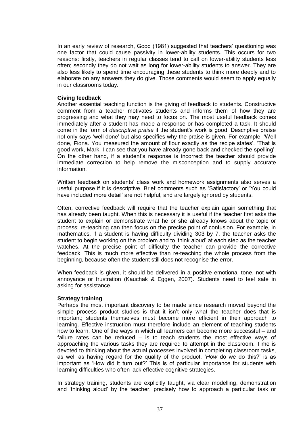In an early review of research, Good (1981) suggested that teachers" questioning was one factor that could cause passivity in lower-ability students. This occurs for two reasons: firstly, teachers in regular classes tend to call on lower-ability students less often; secondly they do not wait as long for lower-ability students to answer. They are also less likely to spend time encouraging these students to think more deeply and to elaborate on any answers they do give. Those comments would seem to apply equally in our classrooms today.

#### **Giving feedback**

Another essential teaching function is the giving of feedback to students. Constructive comment from a teacher motivates students and informs them of how they are progressing and what they may need to focus on. The most useful feedback comes immediately after a student has made a response or has completed a task. It should come in the form of *descriptive praise* if the student"s work is good. Descriptive praise not only says "well done" but also specifies why the praise is given. For example: "Well done, Fiona. You measured the amount of flour exactly as the recipe states'. 'That is good work, Mark. I can see that you have already gone back and checked the spelling". On the other hand, if a student"s response is incorrect the teacher should provide immediate correction to help remove the misconception and to supply accurate information.

Written feedback on students' class work and homework assignments also serves a useful purpose if it is descriptive. Brief comments such as "Satisfactory" or "You could have included more detail" are not helpful, and are largely ignored by students.

Often, corrective feedback will require that the teacher explain again something that has already been taught. When this is necessary it is useful if the teacher first asks the student to explain or demonstrate what he or she already knows about the topic or process; re-teaching can then focus on the precise point of confusion. For example, in mathematics, if a student is having difficulty dividing 303 by 7, the teacher asks the student to begin working on the problem and to "think aloud" at each step as the teacher watches. At the precise point of difficulty the teacher can provide the corrective feedback. This is much more effective than re-teaching the whole process from the beginning, because often the student still does not recognise the error.

When feedback is given, it should be delivered in a positive emotional tone, not with annoyance or frustration (Kauchak & Eggen, 2007). Students need to feel safe in asking for assistance.

#### **Strategy training**

Perhaps the most important discovery to be made since research moved beyond the simple process–product studies is that it isn"t only what the teacher does that is important; students themselves must become more efficient in their approach to learning. Effective instruction must therefore include an element of teaching students how to learn. One of the ways in which all learners can become more successful – and failure rates can be reduced – is to teach students the most effective ways of approaching the various tasks they are required to attempt in the classroom. Time is devoted to thinking about the actual *processes* involved in completing classroom tasks, as well as having regard for the quality of the product. "*How* do we do this?" is as important as "How did it turn out?" This is of particular importance for students with learning difficulties who often lack effective cognitive strategies.

In strategy training, students are explicitly taught, via clear modelling, demonstration and "thinking aloud" by the teacher, precisely how to approach a particular task or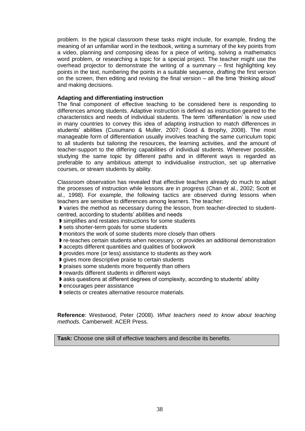problem. In the typical classroom these tasks might include, for example, finding the meaning of an unfamiliar word in the textbook, writing a summary of the key points from a video, planning and composing ideas for a piece of writing, solving a mathematics word problem, or researching a topic for a special project. The teacher might use the overhead projector to demonstrate the writing of a summary – first highlighting key points in the text, numbering the points in a suitable sequence, drafting the first version on the screen, then editing and revising the final version – all the time "thinking aloud" and making decisions.

#### **Adapting and differentiating instruction**

The final component of effective teaching to be considered here is responding to differences among students. Adaptive instruction is defined as instruction geared to the characteristics and needs of individual students. The term "differentiation" is now used in many countries to convey this idea of adapting instruction to match differences in students" abilities (Cusumano & Muller, 2007; Good & Brophy, 2008). The most manageable form of differentiation usually involves teaching the same curriculum topic to all students but tailoring the resources, the learning activities, and the amount of teacher-support to the differing capabilities of individual students. Wherever possible, studying the same topic by different paths and in different ways is regarded as preferable to any ambitious attempt to individualise instruction, set up alternative courses, or stream students by ability.

Classroom observation has revealed that effective teachers already do much to adapt the processes of instruction while lessons are in progress (Chan et al., 2002; Scott et al., 1998). For example, the following tactics are observed during lessons when teachers are sensitive to differences among learners. The teacher:

◗ varies the method as necessary during the lesson, from teacher-directed to studentcentred, according to students" abilities and needs

◗ simplifies and restates instructions for some students

- ◗ sets shorter-term goals for some students
- ◗ monitors the work of some students more closely than others
- ◗ re-teaches certain students when necessary, or provides an additional demonstration
- ◗ accepts different quantities and qualities of bookwork
- ◗ provides more (or less) assistance to students as they work
- ◗ gives more descriptive praise to certain students
- ◗ praises some students more frequently than others
- ◗ rewards different students in different ways
- ◗ asks questions at different degrees of complexity, according to students" ability
- ◗ encourages peer assistance
- ◗ selects or creates alternative resource materials.

**Reference**: Westwood, Peter (2008). *What teachers need to know about teaching methods.* Camberwell: ACER Press.

**Task:** Choose one skill of effective teachers and describe its benefits.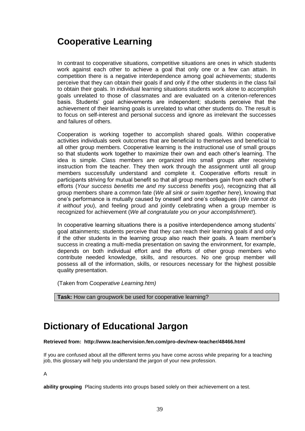# **Cooperative Learning**

In contrast to cooperative situations, competitive situations are ones in which students work against each other to achieve a goal that only one or a few can attain. In competition there is a negative interdependence among goal achievements; students perceive that they can obtain their goals if and only if the other students in the class fail to obtain their goals. In individual learning situations students work alone to accomplish goals unrelated to those of classmates and are evaluated on a criterion-references basis. Students" goal achievements are independent; students perceive that the achievement of their learning goals is unrelated to what other students do. The result is to focus on self-interest and personal success and ignore as irrelevant the successes and failures of others.

Cooperation is working together to accomplish shared goals. Within cooperative activities individuals seek outcomes that are beneficial to themselves and beneficial to all other group members. Cooperative learning is the instructional use of small groups so that students work together to maximize their own and each other"s learning. The idea is simple. Class members are organized into small groups after receiving instruction from the teacher. They then work through the assignment until all group members successfully understand and complete it. Cooperative efforts result in participants striving for mutual benefit so that all group members gain from each other"s efforts (*Your success benefits me and my success benefits you*), recognizing that all group members share a common fate (*We all sink or swim together here*), knowing that one"s performance is mutually caused by oneself and one"s colleagues (*We cannot do it without you*), and feeling proud and jointly celebrating when a group member is recognized for achievement (*We all congratulate you on your accomplishment!*).

In cooperative learning situations there is a positive interdependence among students' goal attainments; students perceive that they can reach their learning goals if and only if the other students in the learning group also reach their goals. A team member"s success in creating a multi-media presentation on saving the environment, for example, depends on both individual effort and the efforts of other group members who contribute needed knowledge, skills, and resources. No one group member will possess all of the information, skills, or resources necessary for the highest possible quality presentation.

(Taken from C*ooperative Learning.htm)*

**Task:** How can groupwork be used for cooperative learning?

# **Dictionary of Educational Jargon**

#### **Retrieved from: http://www.teachervision.fen.com/pro-dev/new-teacher/48466.html**

If you are confused about all the different terms you have come across while preparing for a teaching job, this glossary will help you understand the jargon of your new profession.

A

**ability grouping** Placing students into groups based solely on their achievement on a test.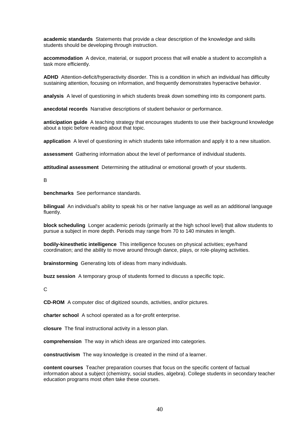**academic standards** Statements that provide a clear description of the knowledge and skills students should be developing through instruction.

**accommodation** A device, material, or support process that will enable a student to accomplish a task more efficiently.

**ADHD** Attention-deficit/hyperactivity disorder. This is a condition in which an individual has difficulty sustaining attention, focusing on information, and frequently demonstrates hyperactive behavior.

**analysis** A level of questioning in which students break down something into its component parts.

**anecdotal records** Narrative descriptions of student behavior or performance.

**anticipation guide** A teaching strategy that encourages students to use their background knowledge about a topic before reading about that topic.

**application** A level of questioning in which students take information and apply it to a new situation.

**assessment** Gathering information about the level of performance of individual students.

**attitudinal assessment** Determining the attitudinal or emotional growth of your students.

B

**benchmarks** See performance standards.

**bilingual** An individual's ability to speak his or her native language as well as an additional language fluently.

**block scheduling** Longer academic periods (primarily at the high school level) that allow students to pursue a subject in more depth. Periods may range from 70 to 140 minutes in length.

**bodily-kinesthetic intelligence** This intelligence focuses on physical activities; eve/hand coordination; and the ability to move around through dance, plays, or role-playing activities.

**brainstorming** Generating lots of ideas from many individuals.

**buzz session** A temporary group of students formed to discuss a specific topic.

 $\mathsf{C}$ 

**CD-ROM** A computer disc of digitized sounds, activities, and/or pictures.

**charter school** A school operated as a for-profit enterprise.

**closure** The final instructional activity in a lesson plan.

**comprehension** The way in which ideas are organized into categories.

**constructivism** The way knowledge is created in the mind of a learner.

**content courses** Teacher preparation courses that focus on the specific content of factual information about a subject (chemistry, social studies, algebra). College students in secondary teacher education programs most often take these courses.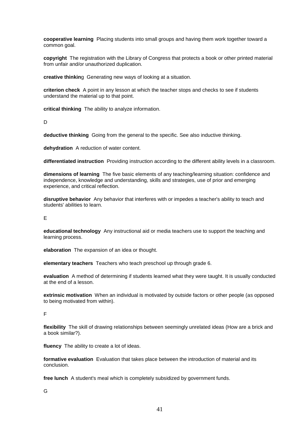**cooperative learning** Placing students into small groups and having them work together toward a common goal.

**copyright** The registration with the Library of Congress that protects a book or other printed material from unfair and/or unauthorized duplication.

**creative thinkin**g Generating new ways of looking at a situation.

**criterion check** A point in any lesson at which the teacher stops and checks to see if students understand the material up to that point.

**critical thinking** The ability to analyze information.

D

**deductive thinking** Going from the general to the specific. See also inductive thinking.

**dehydration** A reduction of water content.

**differentiated instruction** Providing instruction according to the different ability levels in a classroom.

**dimensions of learning** The five basic elements of any teaching/learning situation: confidence and independence, knowledge and understanding, skills and strategies, use of prior and emerging experience, and critical reflection.

**disruptive behavior** Any behavior that interferes with or impedes a teacher's ability to teach and students' abilities to learn.

E

**educational technology** Any instructional aid or media teachers use to support the teaching and learning process.

**elaboration** The expansion of an idea or thought.

**elementary teachers** Teachers who teach preschool up through grade 6.

**evaluation** A method of determining if students learned what they were taught. It is usually conducted at the end of a lesson.

**extrinsic motivation** When an individual is motivated by outside factors or other people (as opposed to being motivated from within).

F

**flexibility** The skill of drawing relationships between seemingly unrelated ideas (How are a brick and a book similar?).

**fluency** The ability to create a lot of ideas.

**formative evaluation** Evaluation that takes place between the introduction of material and its conclusion.

**free lunch** A student's meal which is completely subsidized by government funds.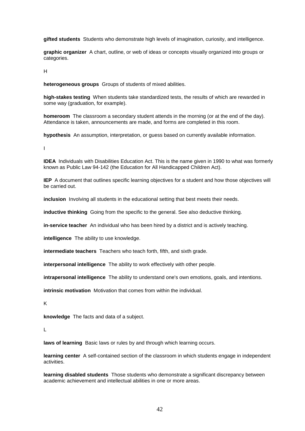**gifted students** Students who demonstrate high levels of imagination, curiosity, and intelligence.

**graphic organizer** A chart, outline, or web of ideas or concepts visually organized into groups or categories.

H

**heterogeneous groups** Groups of students of mixed abilities.

**high-stakes testing** When students take standardized tests, the results of which are rewarded in some way (graduation, for example).

**homeroom** The classroom a secondary student attends in the morning (or at the end of the day). Attendance is taken, announcements are made, and forms are completed in this room.

**hypothesis** An assumption, interpretation, or guess based on currently available information.

I

**IDEA** Individuals with Disabilities Education Act. This is the name given in 1990 to what was formerly known as Public Law 94-142 (the Education for All Handicapped Children Act).

**IEP** A document that outlines specific learning objectives for a student and how those objectives will be carried out.

**inclusion** Involving all students in the educational setting that best meets their needs.

**inductive thinking** Going from the specific to the general. See also deductive thinking.

**in-service teacher** An individual who has been hired by a district and is actively teaching.

**intelligence** The ability to use knowledge.

**intermediate teachers** Teachers who teach forth, fifth, and sixth grade.

**interpersonal intelligence** The ability to work effectively with other people.

**intrapersonal intelligence** The ability to understand one's own emotions, goals, and intentions.

**intrinsic motivation** Motivation that comes from within the individual.

K

**knowledge** The facts and data of a subject.

 $\mathbf{L}$ 

**laws of learning** Basic laws or rules by and through which learning occurs.

**learning center** A self-contained section of the classroom in which students engage in independent activities.

**learning disabled students** Those students who demonstrate a significant discrepancy between academic achievement and intellectual abilities in one or more areas.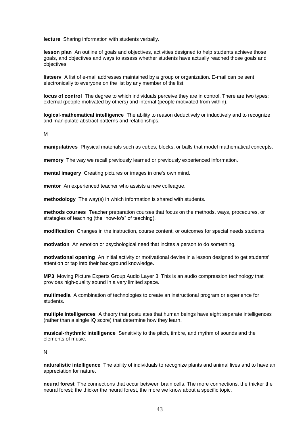**lecture** Sharing information with students verbally.

lesson plan An outline of goals and objectives, activities designed to help students achieve those goals, and objectives and ways to assess whether students have actually reached those goals and objectives.

**listserv** A list of e-mail addresses maintained by a group or organization. E-mail can be sent electronically to everyone on the list by any member of the list.

**locus of control** The degree to which individuals perceive they are in control. There are two types: external (people motivated by others) and internal (people motivated from within).

**logical-mathematical intelligence** The ability to reason deductively or inductively and to recognize and manipulate abstract patterns and relationships.

M

**manipulatives** Physical materials such as cubes, blocks, or balls that model mathematical concepts.

**memory** The way we recall previously learned or previously experienced information.

**mental imagery** Creating pictures or images in one's own mind.

**mentor** An experienced teacher who assists a new colleague.

**methodology** The way(s) in which information is shared with students.

**methods courses** Teacher preparation courses that focus on the methods, ways, procedures, or strategies of teaching (the "how-to's" of teaching).

**modification** Changes in the instruction, course content, or outcomes for special needs students.

**motivation** An emotion or psychological need that incites a person to do something.

**motivational opening** An initial activity or motivational devise in a lesson designed to get students' attention or tap into their background knowledge.

**MP3** Moving Picture Experts Group Audio Layer 3. This is an audio compression technology that provides high-quality sound in a very limited space.

**multimedia** A combination of technologies to create an instructional program or experience for students.

**multiple intelligences** A theory that postulates that human beings have eight separate intelligences (rather than a single IQ score) that determine how they learn.

**musical-rhythmic intelligence** Sensitivity to the pitch, timbre, and rhythm of sounds and the elements of music.

N

**naturalistic intelligence** The ability of individuals to recognize plants and animal lives and to have an appreciation for nature.

**neural forest** The connections that occur between brain cells. The more connections, the thicker the neural forest; the thicker the neural forest, the more we know about a specific topic.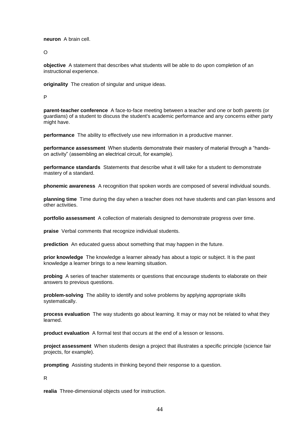**neuron** A brain cell.

 $\Omega$ 

**objective** A statement that describes what students will be able to do upon completion of an instructional experience.

**originality** The creation of singular and unique ideas.

P

**parent-teacher conference** A face-to-face meeting between a teacher and one or both parents (or guardians) of a student to discuss the student's academic performance and any concerns either party might have.

**performance** The ability to effectively use new information in a productive manner.

**performance assessment** When students demonstrate their mastery of material through a "handson activity" (assembling an electrical circuit, for example).

**performance standards** Statements that describe what it will take for a student to demonstrate mastery of a standard.

**phonemic awareness** A recognition that spoken words are composed of several individual sounds.

**planning time** Time during the day when a teacher does not have students and can plan lessons and other activities.

**portfolio assessment** A collection of materials designed to demonstrate progress over time.

**praise** Verbal comments that recognize individual students.

**prediction** An educated guess about something that may happen in the future.

**prior knowledge** The knowledge a learner already has about a topic or subject. It is the past knowledge a learner brings to a new learning situation.

**probing** A series of teacher statements or questions that encourage students to elaborate on their answers to previous questions.

**problem-solving** The ability to identify and solve problems by applying appropriate skills systematically.

**process evaluation** The way students go about learning. It may or may not be related to what they learned.

**product evaluation** A formal test that occurs at the end of a lesson or lessons.

**project assessment** When students design a project that illustrates a specific principle (science fair projects, for example).

**prompting** Assisting students in thinking beyond their response to a question.

R

**realia** Three-dimensional objects used for instruction.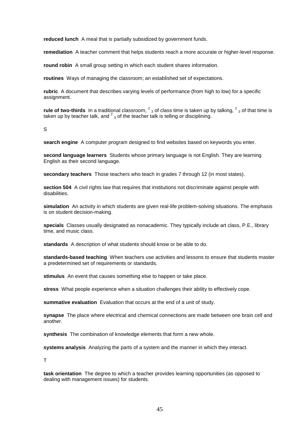**reduced lunch** A meal that is partially subsidized by government funds.

**remediation** A teacher comment that helps students reach a more accurate or higher-level response.

**round robin** A small group setting in which each student shares information.

**routines** Ways of managing the classroom; an established set of expectations.

**rubric** A document that describes varying levels of performance (from high to low) for a specific assignment.

rule of two-thirds In a traditional classroom,  $^2$  <sub>3</sub> of class time is taken up by talking,  $^2$  <sub>3</sub> of that time is taken up by teacher talk, and  $^2$  <sub>3</sub> of the teacher talk is telling or disciplining.

S

**search engine** A computer program designed to find websites based on keywords you enter.

**second language learners** Students whose primary language is not English. They are learning English as their second language.

**secondary teachers** Those teachers who teach in grades 7 through 12 (in most states).

**section 504** A civil rights law that requires that institutions not discriminate against people with disabilities.

**simulation** An activity in which students are given real-life problem-solving situations. The emphasis is on student decision-making.

**specials** Classes usually designated as nonacademic. They typically include art class, P.E., library time, and music class.

**standards** A description of what students should know or be able to do.

**standards-based teaching** When teachers use activities and lessons to ensure that students master a predetermined set of requirements or standards.

**stimulus** An event that causes something else to happen or take place.

**stress** What people experience when a situation challenges their ability to effectively cope.

**summative evaluation** Evaluation that occurs at the end of a unit of study.

**synapse** The place where electrical and chemical connections are made between one brain cell and another.

**synthesis** The combination of knowledge elements that form a new whole.

**systems analysis** Analyzing the parts of a system and the manner in which they interact.

T

**task orientation** The degree to which a teacher provides learning opportunities (as opposed to dealing with management issues) for students.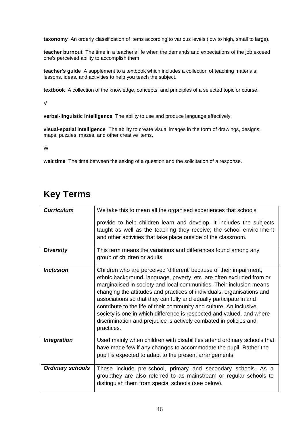**taxonomy** An orderly classification of items according to various levels (low to high, small to large).

**teacher burnout** The time in a teacher's life when the demands and expectations of the job exceed one's perceived ability to accomplish them.

**teacher's guide** A supplement to a textbook which includes a collection of teaching materials, lessons, ideas, and activities to help you teach the subject.

**textbook** A collection of the knowledge, concepts, and principles of a selected topic or course.

V

**verbal-linguistic intelligence** The ability to use and produce language effectively.

**visual-spatial intelligence** The ability to create visual images in the form of drawings, designs, maps, puzzles, mazes, and other creative items.

W

**wait time** The time between the asking of a question and the solicitation of a response.

# **Key Terms**

| <b>Curriculum</b>       | We take this to mean all the organised experiences that schools<br>provide to help children learn and develop. It includes the subjects<br>taught as well as the teaching they receive; the school environment<br>and other activities that take place outside of the classroom.                                                                                                                                                                                                                                                                                                                        |
|-------------------------|---------------------------------------------------------------------------------------------------------------------------------------------------------------------------------------------------------------------------------------------------------------------------------------------------------------------------------------------------------------------------------------------------------------------------------------------------------------------------------------------------------------------------------------------------------------------------------------------------------|
| <b>Diversity</b>        | This term means the variations and differences found among any<br>group of children or adults.                                                                                                                                                                                                                                                                                                                                                                                                                                                                                                          |
| <b>Inclusion</b>        | Children who are perceived 'different' because of their impairment,<br>ethnic background, language, poverty, etc. are often excluded from or<br>marginalised in society and local communities. Their inclusion means<br>changing the attitudes and practices of individuals, organisations and<br>associations so that they can fully and equally participate in and<br>contribute to the life of their community and culture. An inclusive<br>society is one in which difference is respected and valued, and where<br>discrimination and prejudice is actively combated in policies and<br>practices. |
| <b>Integration</b>      | Used mainly when children with disabilities attend ordinary schools that<br>have made few if any changes to accommodate the pupil. Rather the<br>pupil is expected to adapt to the present arrangements                                                                                                                                                                                                                                                                                                                                                                                                 |
| <b>Ordinary schools</b> | These include pre-school, primary and secondary schools. As a<br>groupthey are also referred to as mainstream or regular schools to<br>distinguish them from special schools (see below).                                                                                                                                                                                                                                                                                                                                                                                                               |